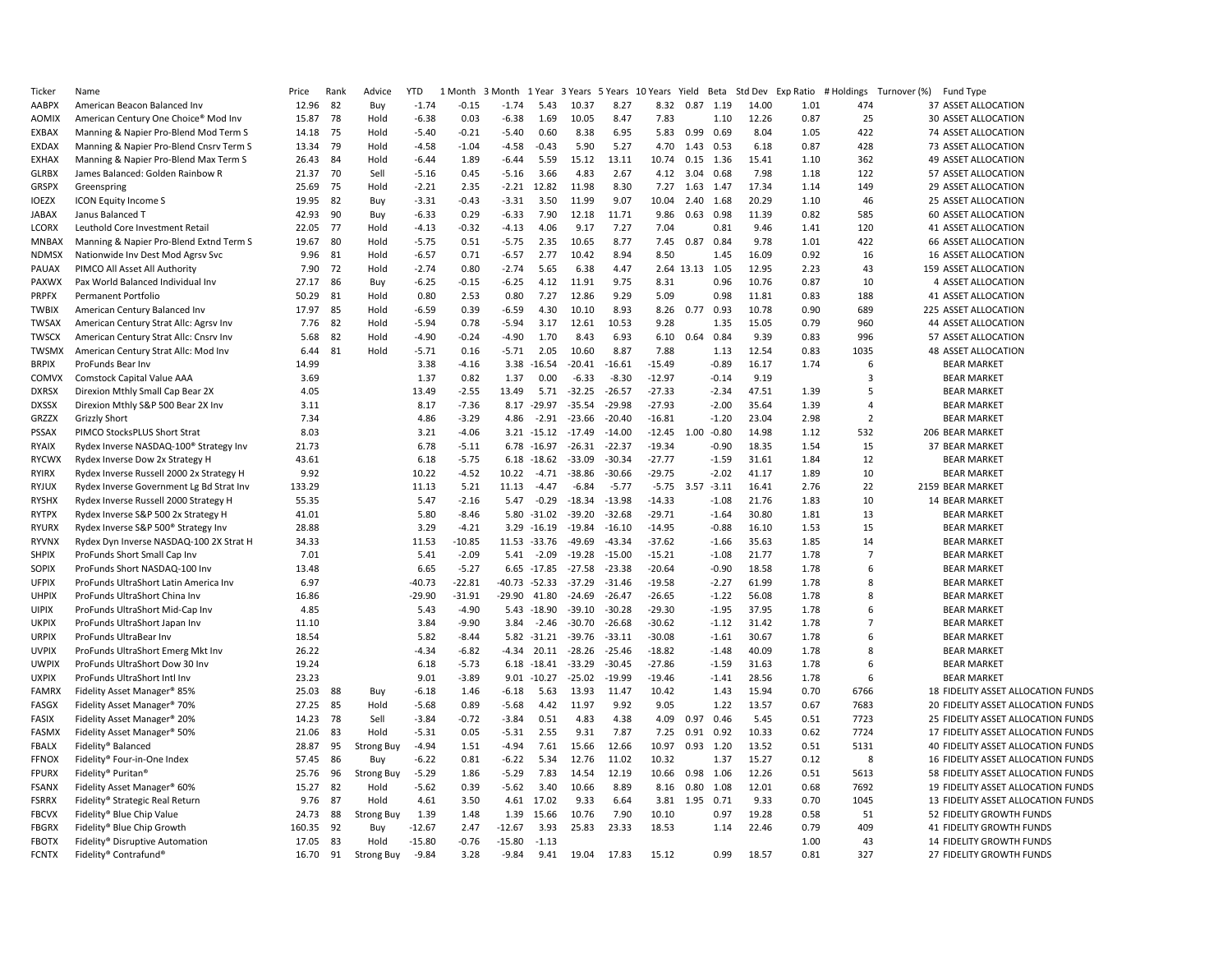| Ticker                | Name                                               | Price          | Rank | Advice            | <b>YTD</b> | 1 Month  | $\overline{3}$<br>Month | 1 Year         | 3 Years 5 Years |          | 10<br>Years | Yield         | Beta    | Std Dev | Exp Ratio | # Holdings     | Turnover (%)<br><b>Fund Type</b>   |
|-----------------------|----------------------------------------------------|----------------|------|-------------------|------------|----------|-------------------------|----------------|-----------------|----------|-------------|---------------|---------|---------|-----------|----------------|------------------------------------|
| AABPX                 | American Beacon Balanced Inv                       | 12.96          | 82   | Buy               | $-1.74$    | $-0.15$  | $-1.74$                 | 5.43           | 10.37           | 8.27     | 8.32        | 0.87          | 1.19    | 14.00   | 1.01      | 474            | 37 ASSET ALLOCATION                |
| <b>AOMIX</b>          | American Century One Choice® Mod Inv               | 15.87          | 78   | Hold              | $-6.38$    | 0.03     | $-6.38$                 | 1.69           | 10.05           | 8.47     | 7.83        |               | 1.10    | 12.26   | 0.87      | 25             | 30 ASSET ALLOCATION                |
| EXBAX                 | Manning & Napier Pro-Blend Mod Term S              | 14.18          | 75   | Hold              | $-5.40$    | $-0.21$  | $-5.40$                 | 0.60           | 8.38            | 6.95     | 5.83        | 0.99          | 0.69    | 8.04    | 1.05      | 422            | 74 ASSET ALLOCATION                |
| EXDAX                 | Manning & Napier Pro-Blend Cnsrv Term S            | 13.34          | 79   | Hold              | $-4.58$    | $-1.04$  | $-4.58$                 | $-0.43$        | 5.90            | 5.27     | 4.70        | 1.43          | 0.53    | 6.18    | 0.87      | 428            | 73 ASSET ALLOCATION                |
| EXHAX                 | Manning & Napier Pro-Blend Max Term S              | 26.43          | 84   | Hold              | $-6.44$    | 1.89     | $-6.44$                 | 5.59           | 15.12           | 13.11    | 10.74       | 0.15          | 1.36    | 15.41   | 1.10      | 362            | 49 ASSET ALLOCATION                |
| <b>GLRBX</b>          | James Balanced: Golden Rainbow R                   | 21.37          | 70   | Sell              | $-5.16$    | 0.45     | $-5.16$                 | 3.66           | 4.83            | 2.67     | 4.12        | 3.04          | 0.68    | 7.98    | 1.18      | 122            | 57 ASSET ALLOCATION                |
| <b>GRSPX</b>          | Greenspring                                        | 25.69          | -75  | Hold              | $-2.21$    | 2.35     | $-2.21$                 | 12.82          | 11.98           | 8.30     | 7.27        | 1.63          | 1.47    | 17.34   | 1.14      | 149            | 29 ASSET ALLOCATION                |
| <b>IOEZX</b>          | <b>ICON Equity Income S</b>                        | 19.95          | 82   | Buy               | $-3.31$    | $-0.43$  | $-3.31$                 | 3.50           | 11.99           | 9.07     | 10.04       | 2.40          | 1.68    | 20.29   | 1.10      | 46             | 25 ASSET ALLOCATION                |
| JABAX                 | Janus Balanced T                                   | 42.93          | 90   | Buy               | $-6.33$    | 0.29     | $-6.33$                 | 7.90           | 12.18           | 11.71    | 9.86        | 0.63          | 0.98    | 11.39   | 0.82      | 585            | 60 ASSET ALLOCATION                |
| LCORX                 | Leuthold Core Investment Retail                    | 22.05          | 77   | Hold              | $-4.13$    | $-0.32$  | $-4.13$                 | 4.06           | 9.17            | 7.27     | 7.04        |               | 0.81    | 9.46    | 1.41      | 120            | 41 ASSET ALLOCATION                |
| MNBAX                 | Manning & Napier Pro-Blend Extnd Term S            | 19.67          | 80   | Hold              | $-5.75$    | 0.51     | $-5.75$                 | 2.35           | 10.65           | 8.77     | 7.45        | 0.87          | 0.84    | 9.78    | 1.01      | 422            | 66 ASSET ALLOCATION                |
| <b>NDMSX</b>          | Nationwide Inv Dest Mod Agrsv Svc                  | 9.96           | 81   | Hold              | $-6.57$    | 0.71     | $-6.57$                 | 2.77           | 10.42           | 8.94     | 8.50        |               | 1.45    | 16.09   | 0.92      | 16             | 16 ASSET ALLOCATION                |
| PAUAX                 | PIMCO All Asset All Authority                      | 7.90           | 72   | Hold              | $-2.74$    | 0.80     | $-2.74$                 | 5.65           | 6.38            | 4.47     |             | 2.64 13.13    | 1.05    | 12.95   | 2.23      | 43             | 159 ASSET ALLOCATION               |
| PAXWX                 | Pax World Balanced Individual Inv                  | 27.17          | 86   | Buy               | $-6.25$    | $-0.15$  | $-6.25$                 | 4.12           | 11.91           | 9.75     | 8.31        |               | 0.96    | 10.76   | 0.87      | 10             | 4 ASSET ALLOCATION                 |
| PRPFX                 | Permanent Portfolio                                | 50.29          | 81   | Hold              | 0.80       | 2.53     | 0.80                    | 7.27           | 12.86           | 9.29     | 5.09        |               | 0.98    | 11.81   | 0.83      | 188            | 41 ASSET ALLOCATION                |
| <b>TWBIX</b>          | American Century Balanced Inv                      | 17.97          | 85   | Hold              | $-6.59$    | 0.39     | $-6.59$                 | 4.30           | 10.10           | 8.93     | 8.26        | 0.77          | 0.93    | 10.78   | 0.90      | 689            | 225 ASSET ALLOCATION               |
| <b>TWSAX</b>          | American Century Strat Allc: Agrsv Inv             | 7.76           | 82   | Hold              | $-5.94$    | 0.78     | $-5.94$                 | 3.17           | 12.61           | 10.53    | 9.28        |               | 1.35    | 15.05   | 0.79      | 960            | 44 ASSET ALLOCATION                |
| <b>TWSCX</b>          | American Century Strat Allc: Cnsrv Inv             | 5.68           | 82   | Hold              | $-4.90$    | $-0.24$  | $-4.90$                 | 1.70           | 8.43            | 6.93     | 6.10        | 0.64          | 0.84    | 9.39    | 0.83      | 996            | 57 ASSET ALLOCATION                |
| <b>TWSMX</b>          | American Century Strat Allc: Mod Inv               | 6.44           | 81   | Hold              | $-5.71$    | 0.16     | $-5.71$                 | 2.05           | 10.60           | 8.87     | 7.88        |               | 1.13    | 12.54   | 0.83      | 1035           | 48 ASSET ALLOCATION                |
| <b>BRPIX</b>          | ProFunds Bear Inv                                  | 14.99          |      |                   | 3.38       | $-4.16$  | 3.38                    | $-16.54$       | $-20.41$        | $-16.61$ | $-15.49$    |               | $-0.89$ | 16.17   | 1.74      | 6              | <b>BEAR MARKET</b>                 |
| COMVX                 | Comstock Capital Value AAA                         | 3.69           |      |                   | 1.37       | 0.82     | 1.37                    | 0.00           | $-6.33$         | $-8.30$  | $-12.97$    |               | $-0.14$ | 9.19    |           | $\overline{3}$ | <b>BEAR MARKET</b>                 |
| <b>DXRSX</b>          | Direxion Mthly Small Cap Bear 2X                   | 4.05           |      |                   | 13.49      | $-2.55$  | 13.49                   | 5.71           | $-32.25$        | $-26.57$ | $-27.33$    |               | $-2.34$ | 47.51   | 1.39      | 5              | <b>BEAR MARKET</b>                 |
| <b>DXSSX</b>          | Direxion Mthly S&P 500 Bear 2X Inv                 | 3.11           |      |                   | 8.17       | $-7.36$  | 8.17                    | $-29.97$       | $-35.54$        | $-29.98$ | $-27.93$    |               | $-2.00$ | 35.64   | 1.39      | $\overline{4}$ | <b>BEAR MARKET</b>                 |
| <b>GRZZX</b>          | <b>Grizzly Short</b>                               | 7.34           |      |                   | 4.86       | $-3.29$  | 4.86                    | $-2.91$        | $-23.66$        | $-20.40$ | $-16.81$    |               | $-1.20$ | 23.04   | 2.98      | $\overline{2}$ | <b>BEAR MARKET</b>                 |
| <b>PSSAX</b>          | PIMCO StocksPLUS Short Strat                       | 8.03           |      |                   | 3.21       | $-4.06$  |                         | $3.21 - 15.12$ | $-17.49$        | $-14.00$ |             | $-12.45$ 1.00 | $-0.80$ | 14.98   | 1.12      | 532            | 206 BEAR MARKET                    |
| <b>RYAIX</b>          | Rydex Inverse NASDAQ-100 <sup>®</sup> Strategy Inv | 21.73          |      |                   | 6.78       | $-5.11$  | 6.78                    | $-16.97$       | $-26.31$        | $-22.37$ | $-19.34$    |               | $-0.90$ | 18.35   | 1.54      | 15             | 37 BEAR MARKET                     |
| <b>RYCWX</b>          | Rydex Inverse Dow 2x Strategy H                    | 43.61          |      |                   | 6.18       | $-5.75$  |                         | $6.18 - 18.62$ | $-33.09$        | $-30.34$ | $-27.77$    |               | $-1.59$ | 31.61   | 1.84      | 12             | <b>BEAR MARKET</b>                 |
| RYIRX                 | Rydex Inverse Russell 2000 2x Strategy H           | 9.92           |      |                   | 10.22      | -4.52    | 10.22                   | $-4.71$        | $-38.86$        | $-30.66$ | $-29.75$    |               | $-2.02$ | 41.17   | 1.89      | 10             | <b>BEAR MARKET</b>                 |
| <b>RYJUX</b>          | Rydex Inverse Government Lg Bd Strat Inv           | 133.29         |      |                   | 11.13      | 5.21     | 11.13                   | $-4.47$        | $-6.84$         | $-5.77$  |             | $-5.75$ 3.57  | $-3.11$ | 16.41   | 2.76      | 22             | 2159 BEAR MARKET                   |
| <b>RYSHX</b>          | Rydex Inverse Russell 2000 Strategy H              | 55.35          |      |                   | 5.47       | $-2.16$  | 5.47                    | $-0.29$        | $-18.34$        | $-13.98$ | $-14.33$    |               | $-1.08$ | 21.76   | 1.83      | 10             | 14 BEAR MARKET                     |
| <b>RYTPX</b>          | Rydex Inverse S&P 500 2x Strategy H                | 41.01          |      |                   | 5.80       | $-8.46$  | 5.80                    | $-31.02$       | $-39.20$        | $-32.68$ | $-29.71$    |               | $-1.64$ | 30.80   | 1.81      | 13             | <b>BEAR MARKET</b>                 |
| <b>RYURX</b>          | Rydex Inverse S&P 500® Strategy Inv                | 28.88          |      |                   | 3.29       | $-4.21$  |                         | $3.29 - 16.19$ | $-19.84$        | $-16.10$ | $-14.95$    |               | $-0.88$ | 16.10   | 1.53      | 15             | <b>BEAR MARKET</b>                 |
| <b>RYVNX</b>          | Rydex Dyn Inverse NASDAQ-100 2X Strat H            | 34.33          |      |                   | 11.53      | $-10.85$ | 11.53                   | $-33.76$       | $-49.69$        | $-43.34$ | $-37.62$    |               | $-1.66$ | 35.63   | 1.85      | 14             | <b>BEAR MARKET</b>                 |
| <b>SHPIX</b>          | ProFunds Short Small Cap Inv                       | 7.01           |      |                   | 5.41       | $-2.09$  | 5.41                    | $-2.09$        | $-19.28$        | $-15.00$ | $-15.21$    |               | $-1.08$ | 21.77   | 1.78      | $\overline{7}$ | <b>BEAR MARKET</b>                 |
| SOPIX                 | ProFunds Short NASDAQ-100 Inv                      | 13.48          |      |                   | 6.65       | $-5.27$  |                         | $6.65 - 17.85$ | $-27.58$        | $-23.38$ | $-20.64$    |               | $-0.90$ | 18.58   | 1.78      | 6              | <b>BEAR MARKET</b>                 |
| <b>UFPIX</b>          | ProFunds UltraShort Latin America Inv              | 6.97           |      |                   | $-40.73$   | $-22.81$ | $-40.73$                | $-52.33$       | $-37.29$        | $-31.46$ | $-19.58$    |               | $-2.27$ | 61.99   | 1.78      | 8              | <b>BEAR MARKET</b>                 |
| <b>UHPIX</b>          | ProFunds UltraShort China Inv                      | 16.86          |      |                   | $-29.90$   | $-31.91$ | -29.90                  | 41.80          | $-24.69$        | $-26.47$ | $-26.65$    |               | $-1.22$ | 56.08   | 1.78      | 8              | <b>BEAR MARKET</b>                 |
| <b>UIPIX</b>          | ProFunds UltraShort Mid-Cap Inv                    | 4.85           |      |                   | 5.43       | $-4.90$  | 5.43                    | $-18.90$       | $-39.10$        | $-30.28$ | $-29.30$    |               | $-1.95$ | 37.95   | 1.78      | 6              | <b>BEAR MARKET</b>                 |
| <b>UKPIX</b>          | ProFunds UltraShort Japan Inv                      | 11.10          |      |                   | 3.84       | $-9.90$  | 3.84                    | $-2.46$        | $-30.70$        | $-26.68$ | $-30.62$    |               | $-1.12$ | 31.42   | 1.78      | $\overline{7}$ | <b>BEAR MARKET</b>                 |
| <b>URPIX</b>          | ProFunds UltraBear Inv                             | 18.54          |      |                   | 5.82       | $-8.44$  | 5.82                    | $-31.21$       | $-39.76$        | $-33.11$ | $-30.08$    |               | $-1.61$ | 30.67   | 1.78      | 6              | <b>BEAR MARKET</b>                 |
| <b>UVPIX</b>          | ProFunds UltraShort Emerg Mkt Inv                  | 26.22          |      |                   | $-4.34$    | $-6.82$  | -4.34                   | 20.11          | $-28.26$        | $-25.46$ | $-18.82$    |               | $-1.48$ | 40.09   | 1.78      | 8              | <b>BEAR MARKET</b>                 |
| <b>UWPIX</b>          | ProFunds UltraShort Dow 30 Inv                     | 19.24          |      |                   | 6.18       | $-5.73$  |                         | $6.18 - 18.41$ | $-33.29$        | $-30.45$ | $-27.86$    |               | $-1.59$ | 31.63   | 1.78      | 6              | <b>BEAR MARKET</b>                 |
| <b>UXPIX</b>          | ProFunds UltraShort Intl Inv                       | 23.23          |      |                   | 9.01       | $-3.89$  |                         | $9.01 - 10.27$ | $-25.02$        | $-19.99$ | $-19.46$    |               | $-1.41$ | 28.56   | 1.78      | 6              | <b>BEAR MARKET</b>                 |
| <b>FAMRX</b>          | Fidelity Asset Manager® 85%                        | 25.03          | 88   | Buy               | $-6.18$    | 1.46     | $-6.18$                 | 5.63           | 13.93           | 11.47    | 10.42       |               | 1.43    | 15.94   | 0.70      | 6766           | 18 FIDELITY ASSET ALLOCATION FUNDS |
| FASGX                 | Fidelity Asset Manager® 70%                        | 27.25          | 85   | Hold              | $-5.68$    | 0.89     | $-5.68$                 | 4.42           | 11.97           | 9.92     | 9.05        |               | 1.22    | 13.57   | 0.67      | 7683           | 20 FIDELITY ASSET ALLOCATION FUNDS |
|                       | Fidelity Asset Manager® 20%                        |                | 78   | Sell              | $-3.84$    | $-0.72$  |                         | 0.51           | 4.83            | 4.38     | 4.09        | 0.97          | 0.46    | 5.45    | 0.51      | 7723           | 25 FIDELITY ASSET ALLOCATION FUNDS |
| FASIX                 | Fidelity Asset Manager® 50%                        | 14.23<br>21.06 | 83   | Hold              | $-5.31$    | 0.05     | $-3.84$<br>$-5.31$      | 2.55           | 9.31            | 7.87     | 7.25        | 0.91          | 0.92    | 10.33   | 0.62      | 7724           | 17 FIDELITY ASSET ALLOCATION FUNDS |
| FASMX<br><b>FBALX</b> |                                                    | 28.87          | 95   | <b>Strong Buy</b> | $-4.94$    | 1.51     | $-4.94$                 | 7.61           | 15.66           | 12.66    | 10.97       | 0.93          | 1.20    | 13.52   | 0.51      | 5131           | 40 FIDELITY ASSET ALLOCATION FUNDS |
|                       | Fidelity® Balanced                                 | 57.45          | 86   |                   | $-6.22$    | 0.81     |                         | 5.34           | 12.76           | 11.02    | 10.32       |               | 1.37    | 15.27   | 0.12      | 8              | 16 FIDELITY ASSET ALLOCATION FUNDS |
| <b>FFNOX</b>          | Fidelity® Four-in-One Index                        |                |      | Buy               |            |          | $-6.22$                 |                |                 |          |             |               |         |         |           |                |                                    |
| <b>FPURX</b>          | Fidelity® Puritan®                                 | 25.76          | 96   | <b>Strong Buy</b> | $-5.29$    | 1.86     | $-5.29$                 | 7.83           | 14.54           | 12.19    | 10.66       | 0.98          | 1.06    | 12.26   | 0.51      | 5613           | 58 FIDELITY ASSET ALLOCATION FUNDS |
| FSANX                 | Fidelity Asset Manager® 60%                        | 15.27          | -82  | Hold              | $-5.62$    | 0.39     | $-5.62$                 | 3.40           | 10.66           | 8.89     | 8.16        | 0.80          | 1.08    | 12.01   | 0.68      | 7692           | 19 FIDELITY ASSET ALLOCATION FUNDS |
| <b>FSRRX</b>          | Fidelity® Strategic Real Return                    | 9.76           | 87   | Hold              | 4.61       | 3.50     | 4.61                    | 17.02          | 9.33            | 6.64     | 3.81        | 1.95          | 0.71    | 9.33    | 0.70      | 1045           | 13 FIDELITY ASSET ALLOCATION FUNDS |
| <b>FBCVX</b>          | Fidelity® Blue Chip Value                          | 24.73          | 88   | <b>Strong Buy</b> | 1.39       | 1.48     | 1.39                    | 15.66          | 10.76           | 7.90     | 10.10       |               | 0.97    | 19.28   | 0.58      | 51             | 52 FIDELITY GROWTH FUNDS           |
| <b>FBGRX</b>          | Fidelity® Blue Chip Growth                         | 160.35         | 92   | Buy               | $-12.67$   | 2.47     | $-12.67$                | 3.93           | 25.83           | 23.33    | 18.53       |               | 1.14    | 22.46   | 0.79      | 409            | 41 FIDELITY GROWTH FUNDS           |
| <b>FBOTX</b>          | Fidelity® Disruptive Automation                    | 17.05          | 83   | Hold              | $-15.80$   | $-0.76$  | $-15.80$                | $-1.13$        |                 |          |             |               |         |         | 1.00      | 43             | 14 FIDELITY GROWTH FUNDS           |
| <b>FCNTX</b>          | Fidelity® Contrafund®                              | 16.70          | 91   | <b>Strong Buy</b> | $-9.84$    | 3.28     | $-9.84$                 | 9.41           | 19.04           | 17.83    | 15.12       |               | 0.99    | 18.57   | 0.81      | 327            | 27 FIDELITY GROWTH FUNDS           |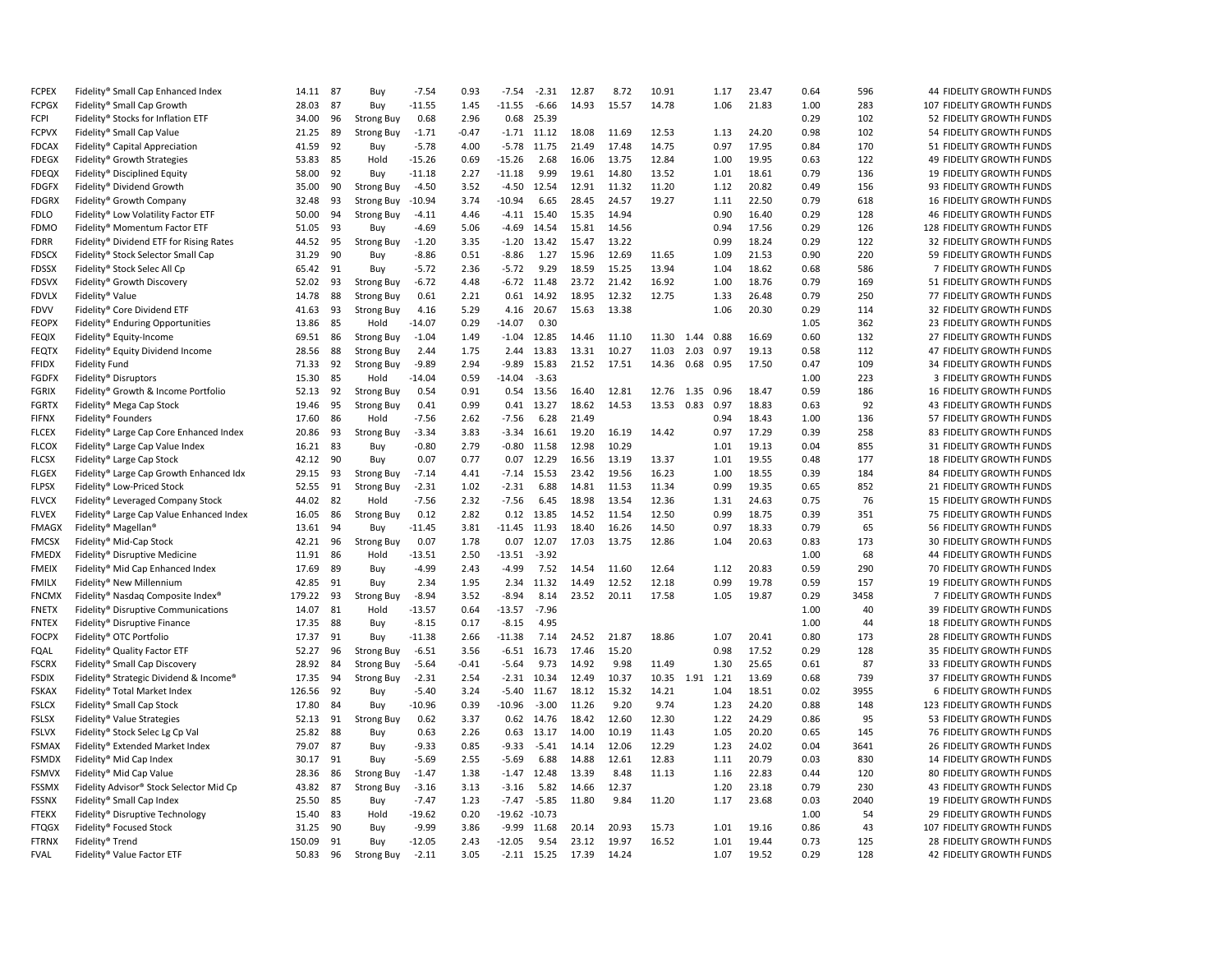| <b>FCPEX</b> | Fidelity® Small Cap Enhanced Index       | 14.11          | 87 | Buy               | $-7.54$         | 0.93         | $-7.54$          | $-2.31$        | 12.87          | 8.72           | 10.91          |                 | 1.17 | 23.47          | 0.64         | 596  | 44 FIDELITY GROWTH FUNDS        |
|--------------|------------------------------------------|----------------|----|-------------------|-----------------|--------------|------------------|----------------|----------------|----------------|----------------|-----------------|------|----------------|--------------|------|---------------------------------|
| <b>FCPGX</b> | Fidelity® Small Cap Growth               | 28.03          | 87 | Buy               | $-11.55$        | 1.45         | $-11.55$         | $-6.66$        | 14.93          | 15.57          | 14.78          |                 | 1.06 | 21.83          | 1.00         | 283  | 107 FIDELITY GROWTH FUNDS       |
| FCPI         | Fidelity® Stocks for Inflation ETF       | 34.00          | 96 | <b>Strong Buy</b> | 0.68            | 2.96         | 0.68             | 25.39          |                |                |                |                 |      |                | 0.29         | 102  | 52 FIDELITY GROWTH FUNDS        |
| <b>FCPVX</b> | Fidelity® Small Cap Value                | 21.25          | 89 | <b>Strong Buy</b> | $-1.71$         | $-0.47$      | $-1.71$          | 11.12          | 18.08          | 11.69          | 12.53          |                 | 1.13 | 24.20          | 0.98         | 102  | 54 FIDELITY GROWTH FUNDS        |
| <b>FDCAX</b> | Fidelity® Capital Appreciation           | 41.59          | 92 | Buy               | $-5.78$         | 4.00         | $-5.78$          | 11.75          | 21.49          | 17.48          | 14.75          |                 | 0.97 | 17.95          | 0.84         | 170  | 51 FIDELITY GROWTH FUNDS        |
| <b>FDEGX</b> | Fidelity® Growth Strategies              | 53.83          | 85 | Hold              | $-15.26$        | 0.69         | $-15.26$         | 2.68           | 16.06          | 13.75          | 12.84          |                 | 1.00 | 19.95          | 0.63         | 122  | 49 FIDELITY GROWTH FUNDS        |
| <b>FDEQX</b> | Fidelity® Disciplined Equity             | 58.00          | 92 | Buy               | $-11.18$        | 2.27         | $-11.18$         | 9.99           | 19.61          | 14.80          | 13.52          |                 | 1.01 | 18.61          | 0.79         | 136  | 19 FIDELITY GROWTH FUNDS        |
| <b>FDGFX</b> | Fidelity® Dividend Growth                | 35.00          | 90 | <b>Strong Buy</b> | $-4.50$         | 3.52         | $-4.50$          | 12.54          | 12.91          | 11.32          | 11.20          |                 | 1.12 | 20.82          | 0.49         | 156  | 93 FIDELITY GROWTH FUNDS        |
| <b>FDGRX</b> | Fidelity® Growth Company                 | 32.48          | 93 | <b>Strong Buy</b> | $-10.94$        | 3.74         | $-10.94$         | 6.65           | 28.45          | 24.57          | 19.27          |                 | 1.11 | 22.50          | 0.79         | 618  | 16 FIDELITY GROWTH FUNDS        |
| <b>FDLO</b>  | Fidelity® Low Volatility Factor ETF      | 50.00          | 94 | <b>Strong Buy</b> | $-4.11$         | 4.46         |                  | $-4.11$ 15.40  | 15.35          | 14.94          |                |                 | 0.90 | 16.40          | 0.29         | 128  | 46 FIDELITY GROWTH FUNDS        |
| <b>FDMO</b>  | Fidelity® Momentum Factor ETF            | 51.05          | 93 | Buy               | $-4.69$         | 5.06         | $-4.69$          | 14.54          | 15.81          | 14.56          |                |                 | 0.94 | 17.56          | 0.29         | 126  | 128 FIDELITY GROWTH FUNDS       |
| <b>FDRR</b>  | Fidelity® Dividend ETF for Rising Rates  | 44.52          | 95 | <b>Strong Buy</b> | $-1.20$         | 3.35         | $-1.20$          | 13.42          | 15.47          | 13.22          |                |                 | 0.99 | 18.24          | 0.29         | 122  | 32 FIDELITY GROWTH FUNDS        |
| <b>FDSCX</b> | Fidelity® Stock Selector Small Cap       | 31.29          | 90 | Buy               | $-8.86$         | 0.51         | $-8.86$          | 1.27           | 15.96          | 12.69          | 11.65          |                 | 1.09 | 21.53          | 0.90         | 220  | 59 FIDELITY GROWTH FUNDS        |
| <b>FDSSX</b> | Fidelity® Stock Selec All Cp             | 65.42          | 91 | Buy               | $-5.72$         | 2.36         | $-5.72$          | 9.29           | 18.59          | 15.25          | 13.94          |                 | 1.04 | 18.62          | 0.68         | 586  | 7 FIDELITY GROWTH FUNDS         |
| <b>FDSVX</b> | Fidelity® Growth Discovery               | 52.02          | 93 | <b>Strong Buy</b> | $-6.72$         | 4.48         | $-6.72$          | 11.48          | 23.72          | 21.42          | 16.92          |                 | 1.00 | 18.76          | 0.79         | 169  | 51 FIDELITY GROWTH FUNDS        |
| <b>FDVLX</b> | Fidelity® Value                          | 14.78          | 88 | <b>Strong Buy</b> | 0.61            | 2.21         | 0.61             | 14.92          | 18.95          | 12.32          | 12.75          |                 | 1.33 | 26.48          | 0.79         | 250  | 77 FIDELITY GROWTH FUNDS        |
| <b>FDVV</b>  | Fidelity® Core Dividend ETF              | 41.63          | 93 | <b>Strong Buy</b> | 4.16            | 5.29         | 4.16             | 20.67          | 15.63          | 13.38          |                |                 | 1.06 | 20.30          | 0.29         | 114  | 32 FIDELITY GROWTH FUNDS        |
| <b>FEOPX</b> | Fidelity® Enduring Opportunities         | 13.86          | 85 | Hold              | $-14.07$        | 0.29         | $-14.07$         | 0.30           |                |                |                |                 |      |                | 1.05         | 362  | 23 FIDELITY GROWTH FUNDS        |
| <b>FEQIX</b> | Fidelity® Equity-Income                  | 69.51          | 86 | <b>Strong Buy</b> | $-1.04$         | 1.49         | $-1.04$          | 12.85          | 14.46          | 11.10          | 11.30          | 1.44 0.88       |      | 16.69          | 0.60         | 132  | 27 FIDELITY GROWTH FUNDS        |
| <b>FEQTX</b> | Fidelity® Equity Dividend Income         | 28.56          | 88 | <b>Strong Buy</b> | 2.44            | 1.75         | 2.44             | 13.83          | 13.31          | 10.27          | 11.03          | 2.03            | 0.97 | 19.13          | 0.58         | 112  | 47 FIDELITY GROWTH FUNDS        |
| <b>FFIDX</b> | <b>Fidelity Fund</b>                     | 71.33          | 92 | <b>Strong Buy</b> | $-9.89$         | 2.94         | $-9.89$          | 15.83          | 21.52          | 17.51          | 14.36          | 0.68            | 0.95 | 17.50          | 0.47         | 109  | 34 FIDELITY GROWTH FUNDS        |
| <b>FGDFX</b> | Fidelity® Disruptors                     | 15.30          | 85 | Hold              | $-14.04$        | 0.59         | $-14.04$         | $-3.63$        |                |                |                |                 |      |                | 1.00         | 223  | 3 FIDELITY GROWTH FUNDS         |
| <b>FGRIX</b> | Fidelity® Growth & Income Portfolio      | 52.13          | 92 | <b>Strong Buy</b> | 0.54            | 0.91         | 0.54             | 13.56          | 16.40          | 12.81          |                | 12.76 1.35 0.96 |      | 18.47          | 0.59         | 186  | 16 FIDELITY GROWTH FUNDS        |
| <b>FGRTX</b> | Fidelity® Mega Cap Stock                 | 19.46          | 95 | Strong Buy        | 0.41            | 0.99         | 0.41             | 13.27          | 18.62          | 14.53          | 13.53          | 0.83            | 0.97 | 18.83          | 0.63         | 92   | 43 FIDELITY GROWTH FUNDS        |
| <b>FIFNX</b> | Fidelity® Founders                       | 17.60          | 86 | Hold              | $-7.56$         | 2.62         | $-7.56$          | 6.28           | 21.49          |                |                |                 | 0.94 | 18.43          | 1.00         | 136  | 57 FIDELITY GROWTH FUNDS        |
| <b>FLCEX</b> |                                          | 20.86          | 93 | <b>Strong Buy</b> | $-3.34$         | 3.83         | $-3.34$          | 16.61          | 19.20          | 16.19          | 14.42          |                 | 0.97 | 17.29          | 0.39         | 258  | 83 FIDELITY GROWTH FUNDS        |
| <b>FLCOX</b> | Fidelity® Large Cap Core Enhanced Index  | 16.21          | 83 | Buy               | $-0.80$         | 2.79         | $-0.80$          | 11.58          | 12.98          | 10.29          |                |                 | 1.01 | 19.13          | 0.04         | 855  | 31 FIDELITY GROWTH FUNDS        |
|              | Fidelity® Large Cap Value Index          |                | 90 |                   |                 | 0.77         |                  |                |                |                |                |                 | 1.01 | 19.55          |              | 177  |                                 |
| <b>FLCSX</b> | Fidelity® Large Cap Stock                | 42.12          | 93 | Buy               | 0.07<br>$-7.14$ | 4.41         | 0.07<br>$-7.14$  | 12.29<br>15.53 | 16.56          | 13.19<br>19.56 | 13.37<br>16.23 |                 | 1.00 | 18.55          | 0.48<br>0.39 | 184  | 18 FIDELITY GROWTH FUNDS        |
| <b>FLGEX</b> | Fidelity® Large Cap Growth Enhanced Idx  | 29.15<br>52.55 | 91 | <b>Strong Buy</b> | $-2.31$         |              | $-2.31$          |                | 23.42          |                | 11.34          |                 | 0.99 | 19.35          |              | 852  | 84 FIDELITY GROWTH FUNDS        |
| <b>FLPSX</b> | Fidelity® Low-Priced Stock               |                | 82 | <b>Strong Buy</b> |                 | 1.02<br>2.32 | $-7.56$          | 6.88           | 14.81<br>18.98 | 11.53<br>13.54 | 12.36          |                 | 1.31 | 24.63          | 0.65<br>0.75 | 76   | 21 FIDELITY GROWTH FUNDS        |
| <b>FLVCX</b> | Fidelity® Leveraged Company Stock        | 44.02          | 86 | Hold              | $-7.56$         | 2.82         | 0.12             | 6.45<br>13.85  |                | 11.54          | 12.50          |                 | 0.99 |                | 0.39         | 351  | <b>15 FIDELITY GROWTH FUNDS</b> |
| <b>FLVEX</b> | Fidelity® Large Cap Value Enhanced Index | 16.05          |    | <b>Strong Buy</b> | 0.12            |              |                  |                | 14.52          |                |                |                 |      | 18.75          |              |      | 75 FIDELITY GROWTH FUNDS        |
| <b>FMAGX</b> | Fidelity® Magellan®                      | 13.61          | 94 | Buy               | $-11.45$        | 3.81         | $-11.45$         | 11.93          | 18.40          | 16.26          | 14.50          |                 | 0.97 | 18.33<br>20.63 | 0.79         | 65   | 56 FIDELITY GROWTH FUNDS        |
| <b>FMCSX</b> | Fidelity® Mid-Cap Stock                  | 42.21          | 96 | <b>Strong Buy</b> | 0.07            | 1.78         | 0.07             | 12.07          | 17.03          | 13.75          | 12.86          |                 | 1.04 |                | 0.83         | 173  | 30 FIDELITY GROWTH FUNDS        |
| <b>FMEDX</b> | Fidelity® Disruptive Medicine            | 11.91          | 86 | Hold              | $-13.51$        | 2.50         | $-13.51$         | $-3.92$        |                |                |                |                 |      |                | 1.00         | 68   | 44 FIDELITY GROWTH FUNDS        |
| <b>FMEIX</b> | Fidelity® Mid Cap Enhanced Index         | 17.69          | 89 | Buy               | $-4.99$         | 2.43         | $-4.99$          | 7.52           | 14.54          | 11.60          | 12.64          |                 | 1.12 | 20.83          | 0.59         | 290  | 70 FIDELITY GROWTH FUNDS        |
| <b>FMILX</b> | Fidelity® New Millennium                 | 42.85          | 91 | Buy               | 2.34            | 1.95         | 2.34             | 11.32          | 14.49          | 12.52          | 12.18          |                 | 0.99 | 19.78          | 0.59         | 157  | 19 FIDELITY GROWTH FUNDS        |
| <b>FNCMX</b> | Fidelity® Nasdag Composite Index®        | 179.22         | 93 | <b>Strong Buy</b> | $-8.94$         | 3.52         | $-8.94$          | 8.14           | 23.52          | 20.11          | 17.58          |                 | 1.05 | 19.87          | 0.29         | 3458 | 7 FIDELITY GROWTH FUNDS         |
| <b>FNETX</b> | Fidelity® Disruptive Communications      | 14.07          | 81 | Hold              | $-13.57$        | 0.64         | $-13.57$         | $-7.96$        |                |                |                |                 |      |                | 1.00         | 40   | 39 FIDELITY GROWTH FUNDS        |
| <b>FNTEX</b> | Fidelity® Disruptive Finance             | 17.35          | 88 | Buy               | $-8.15$         | 0.17         | $-8.15$          | 4.95           |                |                |                |                 |      |                | 1.00         | 44   | 18 FIDELITY GROWTH FUNDS        |
| <b>FOCPX</b> | Fidelity® OTC Portfolio                  | 17.37          | 91 | Buy               | $-11.38$        | 2.66         | $-11.38$         | 7.14           | 24.52          | 21.87          | 18.86          |                 | 1.07 | 20.41          | 0.80         | 173  | 28 FIDELITY GROWTH FUNDS        |
| FQAL         | Fidelity® Quality Factor ETF             | 52.27          | 96 | <b>Strong Buy</b> | $-6.51$         | 3.56         | $-6.51$          | 16.73          | 17.46          | 15.20          |                |                 | 0.98 | 17.52          | 0.29         | 128  | 35 FIDELITY GROWTH FUNDS        |
| <b>FSCRX</b> | Fidelity® Small Cap Discovery            | 28.92          | 84 | <b>Strong Buy</b> | $-5.64$         | $-0.41$      | $-5.64$          | 9.73           | 14.92          | 9.98           | 11.49          |                 | 1.30 | 25.65          | 0.61         | 87   | 33 FIDELITY GROWTH FUNDS        |
| <b>FSDIX</b> | Fidelity® Strategic Dividend & Income®   | 17.35          | 94 | <b>Strong Buy</b> | $-2.31$         | 2.54         | $-2.31$          | 10.34          | 12.49          | 10.37          |                | 10.35 1.91 1.21 |      | 13.69          | 0.68         | 739  | 37 FIDELITY GROWTH FUNDS        |
| <b>FSKAX</b> | Fidelity® Total Market Index             | 126.56         | 92 | Buy               | $-5.40$         | 3.24         | $-5.40$          | 11.67          | 18.12          | 15.32          | 14.21          |                 | 1.04 | 18.51          | 0.02         | 3955 | 6 FIDELITY GROWTH FUNDS         |
| <b>FSLCX</b> | Fidelity® Small Cap Stock                | 17.80          | 84 | Buy               | $-10.96$        | 0.39         | $-10.96$         | $-3.00$        | 11.26          | 9.20           | 9.74           |                 | 1.23 | 24.20          | 0.88         | 148  | 123 FIDELITY GROWTH FUNDS       |
| <b>FSLSX</b> | Fidelity® Value Strategies               | 52.13          | 91 | <b>Strong Buy</b> | 0.62            | 3.37         | 0.62             | 14.76          | 18.42          | 12.60          | 12.30          |                 | 1.22 | 24.29          | 0.86         | 95   | 53 FIDELITY GROWTH FUNDS        |
| <b>FSLVX</b> | Fidelity® Stock Selec Lg Cp Val          | 25.82          | 88 | Buy               | 0.63            | 2.26         | 0.63             | 13.17          | 14.00          | 10.19          | 11.43          |                 | 1.05 | 20.20          | 0.65         | 145  | 76 FIDELITY GROWTH FUNDS        |
| <b>FSMAX</b> | Fidelity® Extended Market Index          | 79.07          | 87 | Buy               | $-9.33$         | 0.85         | $-9.33$          | $-5.41$        | 14.14          | 12.06          | 12.29          |                 | 1.23 | 24.02          | 0.04         | 3641 | 26 FIDELITY GROWTH FUNDS        |
| <b>FSMDX</b> | Fidelity® Mid Cap Index                  | 30.17          | 91 | Buy               | $-5.69$         | 2.55         | $-5.69$          | 6.88           | 14.88          | 12.61          | 12.83          |                 | 1.11 | 20.79          | 0.03         | 830  | 14 FIDELITY GROWTH FUNDS        |
| <b>FSMVX</b> | Fidelity® Mid Cap Value                  | 28.36          | 86 | <b>Strong Buy</b> | $-1.47$         | 1.38         | $-1.47$          | 12.48          | 13.39          | 8.48           | 11.13          |                 | 1.16 | 22.83          | 0.44         | 120  | 80 FIDELITY GROWTH FUNDS        |
| <b>FSSMX</b> | Fidelity Advisor® Stock Selector Mid Cp  | 43.82          | 87 | <b>Strong Buy</b> | $-3.16$         | 3.13         | $-3.16$          | 5.82           | 14.66          | 12.37          |                |                 | 1.20 | 23.18          | 0.79         | 230  | 43 FIDELITY GROWTH FUNDS        |
| <b>FSSNX</b> | Fidelity® Small Cap Index                | 25.50          | 85 | Buy               | $-7.47$         | 1.23         | $-7.47$          | $-5.85$        | 11.80          | 9.84           | 11.20          |                 | 1.17 | 23.68          | 0.03         | 2040 | 19 FIDELITY GROWTH FUNDS        |
| <b>FTEKX</b> | Fidelity® Disruptive Technology          | 15.40          | 83 | Hold              | $-19.62$        | 0.20         | $-19.62 - 10.73$ |                |                |                |                |                 |      |                | 1.00         | 54   | 29 FIDELITY GROWTH FUNDS        |
| <b>FTQGX</b> | Fidelity® Focused Stock                  | 31.25          | 90 | Buy               | $-9.99$         | 3.86         | $-9.99$          | 11.68          | 20.14          | 20.93          | 15.73          |                 | 1.01 | 19.16          | 0.86         | 43   | 107 FIDELITY GROWTH FUNDS       |
| <b>FTRNX</b> | Fidelity® Trend                          | 150.09         | 91 | Buy               | $-12.05$        | 2.43         | $-12.05$         | 9.54           | 23.12          | 19.97          | 16.52          |                 | 1.01 | 19.44          | 0.73         | 125  | 28 FIDELITY GROWTH FUNDS        |
| <b>FVAL</b>  | Fidelity® Value Factor ETF               | 50.83          | 96 | <b>Strong Buy</b> | $-2.11$         | 3.05         |                  | $-2.11$ 15.25  | 17.39          | 14.24          |                |                 | 1.07 | 19.52          | 0.29         | 128  | 42 FIDELITY GROWTH FUNDS        |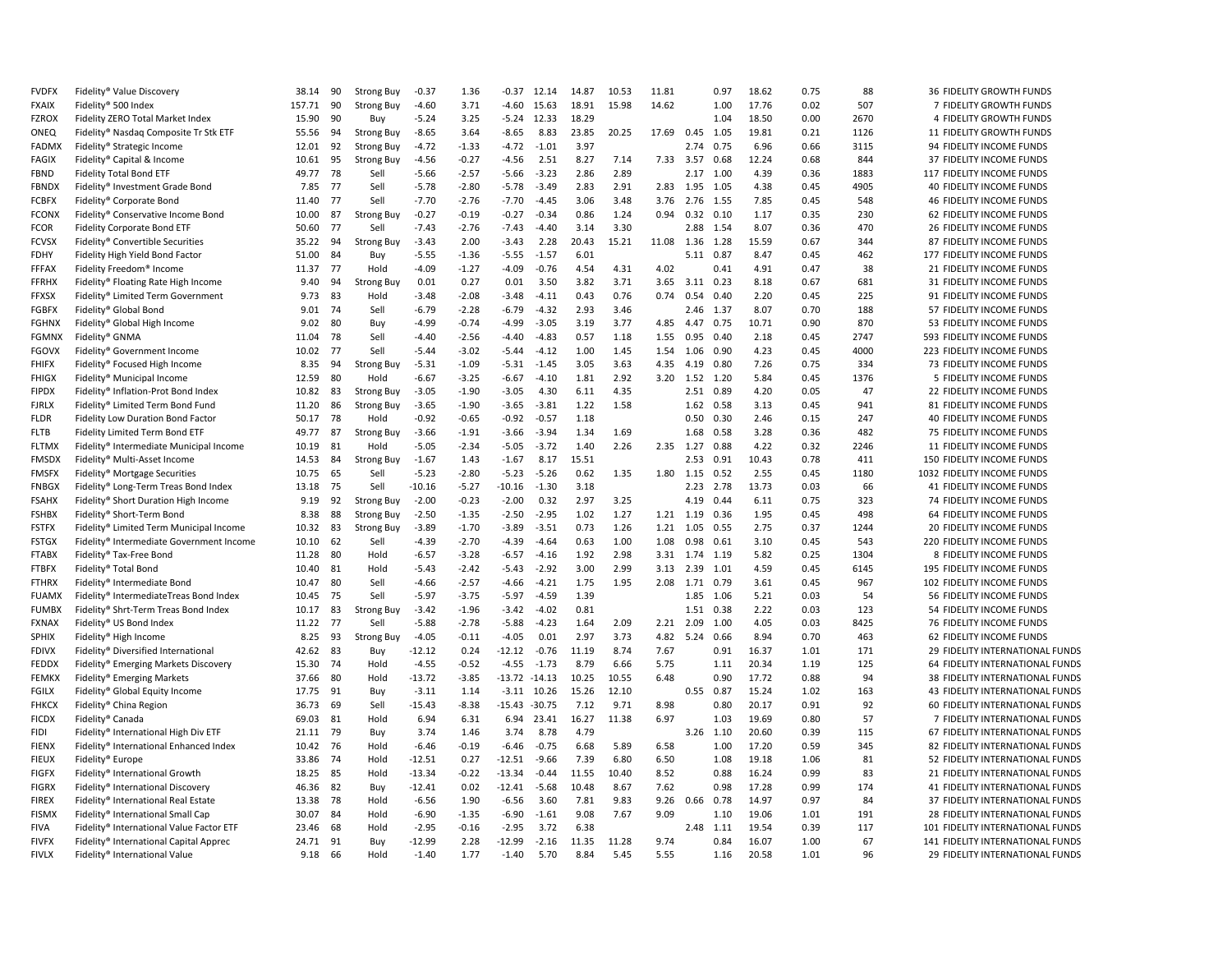| <b>FVDFX</b>                 | Fidelity® Value Discovery                | 38.14  | 90       | <b>Strong Buy</b>         | $-0.37$            | 1.36               | $-0.37$             | 12.14            | 14.87 | 10.53 | 11.81 |               | 0.97         | 18.62 | 0.75 | 88   | 36 FIDELITY GROWTH FUNDS                                |
|------------------------------|------------------------------------------|--------|----------|---------------------------|--------------------|--------------------|---------------------|------------------|-------|-------|-------|---------------|--------------|-------|------|------|---------------------------------------------------------|
| <b>FXAIX</b>                 | Fidelity® 500 Index                      | 157.71 | 90       | <b>Strong Buy</b>         | $-4.60$            | 3.71               | -4.60               | 15.63            | 18.91 | 15.98 | 14.62 |               | 1.00         | 17.76 | 0.02 | 507  | 7 FIDELITY GROWTH FUNDS                                 |
| <b>FZROX</b>                 | Fidelity ZERO Total Market Index         | 15.90  | 90       | Buy                       | $-5.24$            | 3.25               |                     | $-5.24$ 12.33    | 18.29 |       |       |               | 1.04         | 18.50 | 0.00 | 2670 | 4 FIDELITY GROWTH FUNDS                                 |
| ONEQ                         | Fidelity® Nasdaq Composite Tr Stk ETF    | 55.56  | 94       | <b>Strong Buy</b>         | $-8.65$            | 3.64               | -8.65               | 8.83             | 23.85 | 20.25 | 17.69 | 0.45          | 1.05         | 19.81 | 0.21 | 1126 | 11 FIDELITY GROWTH FUNDS                                |
| <b>FADMX</b>                 | Fidelity® Strategic Income               | 12.01  | 92       | <b>Strong Buy</b>         | $-4.72$            | $-1.33$            | -4.72               | $-1.01$          | 3.97  |       |       | 2.74          | 0.75         | 6.96  | 0.66 | 3115 | 94 FIDELITY INCOME FUNDS                                |
| FAGIX                        | Fidelity® Capital & Income               | 10.61  | 95       | <b>Strong Buy</b>         | $-4.56$            | $-0.27$            | $-4.56$             | 2.51             | 8.27  | 7.14  | 7.33  | 3.57          | 0.68         | 12.24 | 0.68 | 844  | 37 FIDELITY INCOME FUNDS                                |
| <b>FBND</b>                  | <b>Fidelity Total Bond ETF</b>           | 49.77  | 78       | Sell                      | $-5.66$            | $-2.57$            | $-5.66$             | $-3.23$          | 2.86  | 2.89  |       | 2.17          | 1.00         | 4.39  | 0.36 | 1883 | 117 FIDELITY INCOME FUNDS                               |
| <b>FBNDX</b>                 | Fidelity® Investment Grade Bond          | 7.85   | 77       | Sell                      | $-5.78$            | $-2.80$            | $-5.78$             | $-3.49$          | 2.83  | 2.91  | 2.83  | 1.95          | 1.05         | 4.38  | 0.45 | 4905 | 40 FIDELITY INCOME FUNDS                                |
| <b>FCBFX</b>                 | Fidelity® Corporate Bond                 | 11.40  | 77       | Sell                      | $-7.70$            | $-2.76$            | $-7.70$             | $-4.45$          | 3.06  | 3.48  | 3.76  | 2.76          | 1.55         | 7.85  | 0.45 | 548  | <b>46 FIDELITY INCOME FUNDS</b>                         |
| <b>FCONX</b>                 | Fidelity® Conservative Income Bond       | 10.00  | 87       | <b>Strong Buy</b>         | $-0.27$            | $-0.19$            | $-0.27$             | $-0.34$          | 0.86  | 1.24  | 0.94  | $0.32$ $0.10$ |              | 1.17  | 0.35 | 230  | 62 FIDELITY INCOME FUNDS                                |
| <b>FCOR</b>                  | Fidelity Corporate Bond ETF              | 50.60  | 77       | Sell                      | $-7.43$            | $-2.76$            | $-7.43$             | $-4.40$          | 3.14  | 3.30  |       | 2.88          | 1.54         | 8.07  | 0.36 | 470  | 26 FIDELITY INCOME FUNDS                                |
| <b>FCVSX</b>                 | Fidelity® Convertible Securities         | 35.22  | 94       | <b>Strong Buy</b>         | $-3.43$            | 2.00               | $-3.43$             | 2.28             | 20.43 | 15.21 | 11.08 | 1.36          | 1.28         | 15.59 | 0.67 | 344  | 87 FIDELITY INCOME FUNDS                                |
| <b>FDHY</b>                  | Fidelity High Yield Bond Factor          | 51.00  | 84       | Buy                       | $-5.55$            | $-1.36$            | $-5.55$             | $-1.57$          | 6.01  |       |       | 5.11          | 0.87         | 8.47  | 0.45 | 462  | 177 FIDELITY INCOME FUNDS                               |
| <b>FFFAX</b>                 | Fidelity Freedom® Income                 | 11.37  | 77       | Hold                      | $-4.09$            | $-1.27$            | $-4.09$             | $-0.76$          | 4.54  | 4.31  | 4.02  |               | 0.41         | 4.91  | 0.47 | 38   | 21 FIDELITY INCOME FUNDS                                |
| <b>FFRHX</b>                 | Fidelity® Floating Rate High Income      | 9.40   | 94       | <b>Strong Buy</b>         | 0.01               | 0.27               | 0.01                | 3.50             | 3.82  | 3.71  | 3.65  | 3.11          | 0.23         | 8.18  | 0.67 | 681  | 31 FIDELITY INCOME FUNDS                                |
| <b>FFXSX</b>                 | Fidelity® Limited Term Government        | 9.73   | 83       | Hold                      | $-3.48$            | $-2.08$            | $-3.48$             | $-4.11$          | 0.43  | 0.76  | 0.74  | 0.54          | 0.40         | 2.20  | 0.45 | 225  | 91 FIDELITY INCOME FUNDS                                |
| <b>FGBFX</b>                 | Fidelity® Global Bond                    | 9.01   | 74       | Sell                      | $-6.79$            | $-2.28$            | $-6.79$             | $-4.32$          | 2.93  | 3.46  |       | 2.46          | 1.37         | 8.07  | 0.70 | 188  | 57 FIDELITY INCOME FUNDS                                |
| <b>FGHNX</b>                 | Fidelity® Global High Income             | 9.02   | 80       | Buv                       | $-4.99$            | $-0.74$            | $-4.99$             | $-3.05$          | 3.19  | 3.77  | 4.85  | 4.47          | 0.75         | 10.71 | 0.90 | 870  | 53 FIDELITY INCOME FUNDS                                |
| <b>FGMNX</b>                 | Fidelity® GNMA                           | 11.04  | 78       | Sell                      | $-4.40$            | $-2.56$            | $-4.40$             | $-4.83$          | 0.57  | 1.18  | 1.55  | 0.95          | 0.40         | 2.18  | 0.45 | 2747 | 593 FIDELITY INCOME FUNDS                               |
| <b>FGOVX</b>                 | Fidelity® Government Income              | 10.02  | 77       | Sell                      | $-5.44$            | $-3.02$            | -5.44               | $-4.12$          | 1.00  | 1.45  | 1.54  | 1.06          | 0.90         | 4.23  | 0.45 | 4000 | 223 FIDELITY INCOME FUNDS                               |
| <b>FHIFX</b>                 | Fidelity® Focused High Income            | 8.35   | 94       | <b>Strong Buy</b>         | $-5.31$            | $-1.09$            | $-5.31$             | $-1.45$          | 3.05  | 3.63  | 4.35  | 4.19          | 0.80         | 7.26  | 0.75 | 334  | 73 FIDELITY INCOME FUNDS                                |
| <b>FHIGX</b>                 | Fidelity® Municipal Income               | 12.59  | 80       | Hold                      | $-6.67$            | $-3.25$            | $-6.67$             | $-4.10$          | 1.81  | 2.92  | 3.20  | 1.52          | 1.20         | 5.84  | 0.45 | 1376 | 5 FIDELITY INCOME FUNDS                                 |
| <b>FIPDX</b>                 | Fidelity® Inflation-Prot Bond Index      | 10.82  | 83       | <b>Strong Buy</b>         | $-3.05$            | $-1.90$            | $-3.05$             | 4.30             | 6.11  | 4.35  |       | 2.51          | 0.89         | 4.20  | 0.05 | 47   | 22 FIDELITY INCOME FUNDS                                |
| <b>FJRLX</b>                 | Fidelity® Limited Term Bond Fund         | 11.20  | 86       | <b>Strong Buy</b>         | $-3.65$            | $-1.90$            | $-3.65$             | $-3.81$          | 1.22  | 1.58  |       | 1.62          | 0.58         | 3.13  | 0.45 | 941  | 81 FIDELITY INCOME FUNDS                                |
| <b>FLDR</b>                  | <b>Fidelity Low Duration Bond Factor</b> | 50.17  | 78       | Hold                      | $-0.92$            | $-0.65$            | $-0.92$             | $-0.57$          | 1.18  |       |       | 0.50          | 0.30         | 2.46  | 0.15 | 247  | <b>40 FIDELITY INCOME FUNDS</b>                         |
| <b>FLTB</b>                  | Fidelity Limited Term Bond ETF           | 49.77  | 87       | <b>Strong Buy</b>         | $-3.66$            | $-1.91$            | $-3.66$             | $-3.94$          | 1.34  | 1.69  |       | 1.68          | 0.58         | 3.28  | 0.36 | 482  | 75 FIDELITY INCOME FUNDS                                |
| <b>FLTMX</b>                 | Fidelity® Intermediate Municipal Income  | 10.19  | 81       | Hold                      | $-5.05$            | $-2.34$            | $-5.05$             | $-3.72$          | 1.40  | 2.26  | 2.35  | 1.27          | 0.88         | 4.22  | 0.32 | 2246 | 11 FIDELITY INCOME FUNDS                                |
|                              |                                          |        | 84       |                           |                    | 1.43               | $-1.67$             | 8.17             | 15.51 |       |       |               | 0.91         | 10.43 | 0.78 | 411  |                                                         |
| <b>FMSDX</b><br><b>FMSFX</b> | Fidelity® Multi-Asset Income             | 14.53  | 65       | <b>Strong Buy</b><br>Sell | $-1.67$<br>$-5.23$ | $-2.80$            | $-5.23$             | $-5.26$          | 0.62  | 1.35  |       | 2.53          | 0.52         | 2.55  | 0.45 | 1180 | 150 FIDELITY INCOME FUNDS<br>1032 FIDELITY INCOME FUNDS |
|                              | Fidelity® Mortgage Securities            | 10.75  |          |                           |                    |                    |                     |                  | 3.18  |       | 1.80  | 1.15<br>2.23  |              | 13.73 | 0.03 | 66   |                                                         |
| <b>FNBGX</b>                 | Fidelity® Long-Term Treas Bond Index     | 13.18  | 75<br>92 | Sell                      | $-10.16$           | $-5.27$<br>$-0.23$ | $-10.16$<br>$-2.00$ | $-1.30$<br>0.32  | 2.97  | 3.25  |       |               | 2.78<br>0.44 | 6.11  | 0.75 | 323  | 41 FIDELITY INCOME FUNDS<br>74 FIDELITY INCOME FUNDS    |
| <b>FSAHX</b>                 | Fidelity® Short Duration High Income     | 9.19   |          | <b>Strong Buy</b>         | $-2.00$            | $-1.35$            |                     |                  | 1.02  | 1.27  | 1.21  | 4.19          | 0.36         | 1.95  | 0.45 | 498  |                                                         |
| <b>FSHBX</b>                 | Fidelity® Short-Term Bond                | 8.38   | 88       | <b>Strong Buy</b>         | $-2.50$            |                    | $-2.50$             | $-2.95$          |       |       |       | 1.19          |              |       |      |      | 64 FIDELITY INCOME FUNDS                                |
| <b>FSTFX</b>                 | Fidelity® Limited Term Municipal Income  | 10.32  | 83       | <b>Strong Buy</b>         | $-3.89$            | $-1.70$            | $-3.89$             | $-3.51$          | 0.73  | 1.26  | 1.21  | 1.05          | 0.55         | 2.75  | 0.37 | 1244 | 20 FIDELITY INCOME FUNDS                                |
| <b>FSTGX</b>                 | Fidelity® Intermediate Government Income | 10.10  | 62       | Sell                      | $-4.39$            | $-2.70$            | -4.39               | $-4.64$          | 0.63  | 1.00  | 1.08  | 0.98          | 0.61         | 3.10  | 0.45 | 543  | 220 FIDELITY INCOME FUNDS                               |
| <b>FTABX</b>                 | Fidelity® Tax-Free Bond                  | 11.28  | 80       | Hold                      | $-6.57$            | $-3.28$            | $-6.57$             | $-4.16$          | 1.92  | 2.98  | 3.31  | 1.74          | 1.19         | 5.82  | 0.25 | 1304 | 8 FIDELITY INCOME FUNDS                                 |
| <b>FTBFX</b>                 | Fidelity® Total Bond                     | 10.40  | 81       | Hold                      | $-5.43$            | $-2.42$            | $-5.43$             | $-2.92$          | 3.00  | 2.99  | 3.13  | 2.39          | 1.01         | 4.59  | 0.45 | 6145 | 195 FIDELITY INCOME FUNDS                               |
| <b>FTHRX</b>                 | Fidelity® Intermediate Bond              | 10.47  | 80       | Sell                      | $-4.66$            | $-2.57$            | $-4.66$             | $-4.21$          | 1.75  | 1.95  | 2.08  | 1.71          | 0.79         | 3.61  | 0.45 | 967  | 102 FIDELITY INCOME FUNDS                               |
| <b>FUAMX</b>                 | Fidelity® IntermediateTreas Bond Index   | 10.45  | 75       | Sell                      | $-5.97$            | $-3.75$            | -5.97               | $-4.59$          | 1.39  |       |       | 1.85          | 1.06         | 5.21  | 0.03 | 54   | 56 FIDELITY INCOME FUNDS                                |
| <b>FUMBX</b>                 | Fidelity® Shrt-Term Treas Bond Index     | 10.17  | 83       | <b>Strong Buy</b>         | $-3.42$            | $-1.96$            | $-3.42$             | $-4.02$          | 0.81  |       |       | 1.51          | 0.38         | 2.22  | 0.03 | 123  | 54 FIDELITY INCOME FUNDS                                |
| <b>FXNAX</b>                 | Fidelity® US Bond Index                  | 11.22  | 77       | Sell                      | $-5.88$            | $-2.78$            | -5.88               | $-4.23$          | 1.64  | 2.09  | 2.21  | 2.09          | 1.00         | 4.05  | 0.03 | 8425 | 76 FIDELITY INCOME FUNDS                                |
| <b>SPHIX</b>                 | Fidelity® High Income                    | 8.25   | 93       | <b>Strong Buy</b>         | $-4.05$            | $-0.11$            | $-4.05$             | 0.01             | 2.97  | 3.73  | 4.82  | 5.24          | 0.66         | 8.94  | 0.70 | 463  | 62 FIDELITY INCOME FUNDS                                |
| <b>FDIVX</b>                 | Fidelity® Diversified International      | 42.62  | 83       | Buy                       | $-12.12$           | 0.24               | $-12.12$            | $-0.76$          | 11.19 | 8.74  | 7.67  |               | 0.91         | 16.37 | 1.01 | 171  | 29 FIDELITY INTERNATIONAL FUNDS                         |
| <b>FEDDX</b>                 | Fidelity® Emerging Markets Discovery     | 15.30  | 74       | Hold                      | $-4.55$            | $-0.52$            | $-4.55$             | $-1.73$          | 8.79  | 6.66  | 5.75  |               | 1.11         | 20.34 | 1.19 | 125  | 64 FIDELITY INTERNATIONAL FUNDS                         |
| <b>FEMKX</b>                 | Fidelity® Emerging Markets               | 37.66  | 80       | Hold                      | $-13.72$           | $-3.85$            |                     | $-13.72 -14.13$  | 10.25 | 10.55 | 6.48  |               | 0.90         | 17.72 | 0.88 | 94   | 38 FIDELITY INTERNATIONAL FUNDS                         |
| <b>FGILX</b>                 | Fidelity® Global Equity Income           | 17.75  | 91       | Buy                       | $-3.11$            | 1.14               |                     | $-3.11$ 10.26    | 15.26 | 12.10 |       | 0.55          | 0.87         | 15.24 | 1.02 | 163  | 43 FIDELITY INTERNATIONAL FUNDS                         |
| <b>FHKCX</b>                 | Fidelity® China Region                   | 36.73  | 69       | Sell                      | $-15.43$           | $-8.38$            |                     | $-15.43 - 30.75$ | 7.12  | 9.71  | 8.98  |               | 0.80         | 20.17 | 0.91 | 92   | 60 FIDELITY INTERNATIONAL FUNDS                         |
| <b>FICDX</b>                 | Fidelity® Canada                         | 69.03  | 81       | Hold                      | 6.94               | 6.31               | 6.94                | 23.41            | 16.27 | 11.38 | 6.97  |               | 1.03         | 19.69 | 0.80 | 57   | 7 FIDELITY INTERNATIONAL FUNDS                          |
| <b>FIDI</b>                  | Fidelity® International High Div ETF     | 21.11  | 79       | Buv                       | 3.74               | 1.46               | 3.74                | 8.78             | 4.79  |       |       | 3.26          | 1.10         | 20.60 | 0.39 | 115  | 67 FIDELITY INTERNATIONAL FUNDS                         |
| <b>FIENX</b>                 | Fidelity® International Enhanced Index   | 10.42  | 76       | Hold                      | $-6.46$            | $-0.19$            | $-6.46$             | $-0.75$          | 6.68  | 5.89  | 6.58  |               | 1.00         | 17.20 | 0.59 | 345  | 82 FIDELITY INTERNATIONAL FUNDS                         |
| <b>FIEUX</b>                 | Fidelity® Europe                         | 33.86  | 74       | Hold                      | $-12.51$           | 0.27               | $-12.51$            | $-9.66$          | 7.39  | 6.80  | 6.50  |               | 1.08         | 19.18 | 1.06 | 81   | 52 FIDELITY INTERNATIONAL FUNDS                         |
| <b>FIGFX</b>                 | Fidelity® International Growth           | 18.25  | 85       | Hold                      | $-13.34$           | $-0.22$            | $-13.34$            | $-0.44$          | 11.55 | 10.40 | 8.52  |               | 0.88         | 16.24 | 0.99 | 83   | 21 FIDELITY INTERNATIONAL FUNDS                         |
| <b>FIGRX</b>                 | Fidelity® International Discovery        | 46.36  | 82       | Buy                       | $-12.41$           | 0.02               | $-12.41$            | $-5.68$          | 10.48 | 8.67  | 7.62  |               | 0.98         | 17.28 | 0.99 | 174  | 41 FIDELITY INTERNATIONAL FUNDS                         |
| <b>FIREX</b>                 | Fidelity® International Real Estate      | 13.38  | 78       | Hold                      | $-6.56$            | 1.90               | $-6.56$             | 3.60             | 7.81  | 9.83  | 9.26  | 0.66          | 0.78         | 14.97 | 0.97 | 84   | 37 FIDELITY INTERNATIONAL FUNDS                         |
| <b>FISMX</b>                 | Fidelity® International Small Cap        | 30.07  | 84       | Hold                      | $-6.90$            | $-1.35$            | $-6.90$             | $-1.61$          | 9.08  | 7.67  | 9.09  |               | 1.10         | 19.06 | 1.01 | 191  | 28 FIDELITY INTERNATIONAL FUNDS                         |
| <b>FIVA</b>                  | Fidelity® International Value Factor ETF | 23.46  | 68       | Hold                      | $-2.95$            | $-0.16$            | $-2.95$             | 3.72             | 6.38  |       |       | 2.48          | 1.11         | 19.54 | 0.39 | 117  | 101 FIDELITY INTERNATIONAL FUNDS                        |
| <b>FIVFX</b>                 | Fidelity® International Capital Apprec   | 24.71  | 91       | Buy                       | -12.99             | 2.28               | $-12.99$            | $-2.16$          | 11.35 | 11.28 | 9.74  |               | 0.84         | 16.07 | 1.00 | 67   | 141 FIDELITY INTERNATIONAL FUNDS                        |
| <b>FIVLX</b>                 | Fidelity® International Value            | 9.18   | 66       | Hold                      | $-1.40$            | 1.77               | $-1.40$             | 5.70             | 8.84  | 5.45  | 5.55  |               | 1.16         | 20.58 | 1.01 | 96   | 29 FIDELITY INTERNATIONAL FUNDS                         |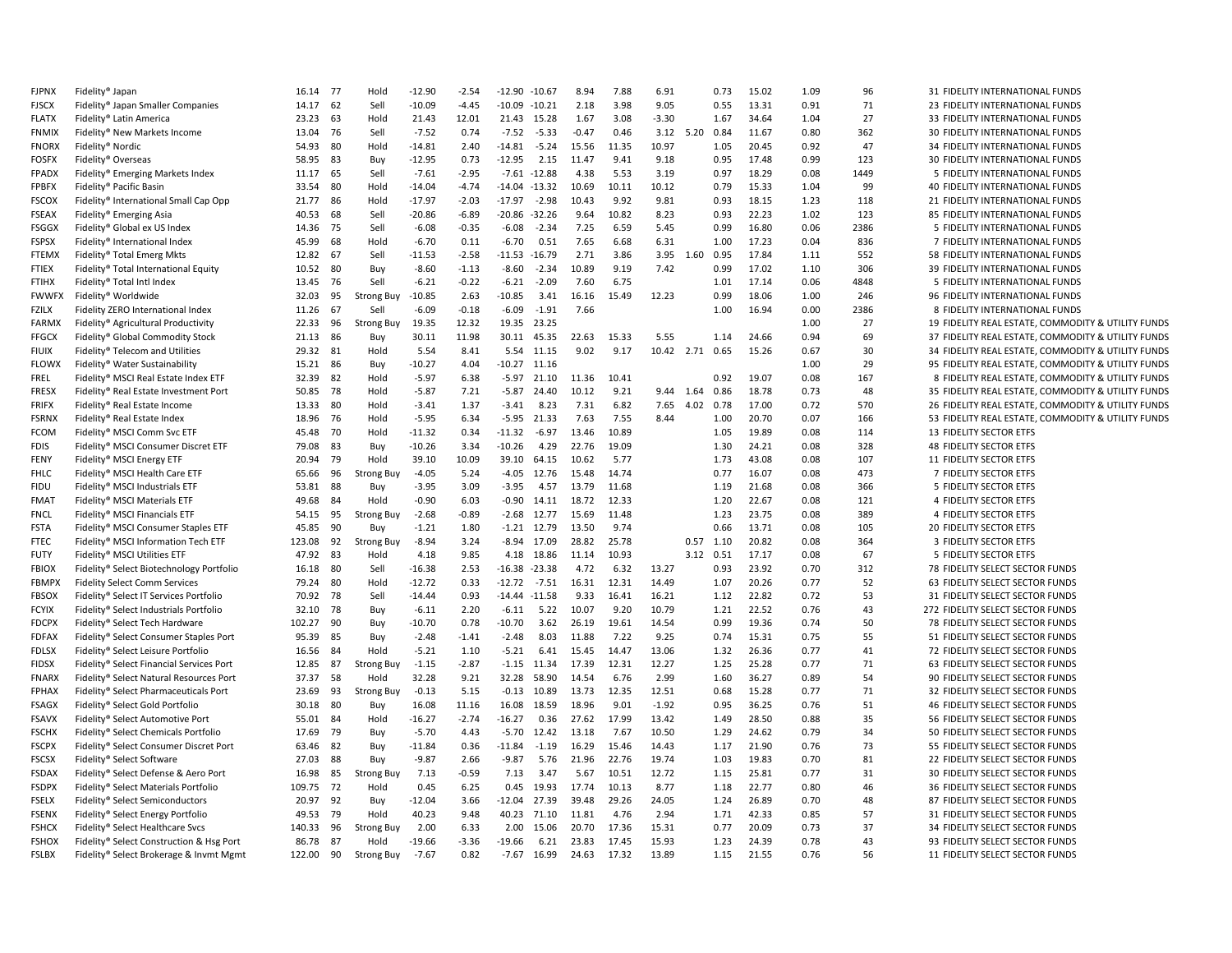| <b>FJPNX</b> | Fidelity® Japan                          | 16.14  | 77   | Hold              | $-12.90$ | $-2.54$ | $-12.90$         | $-10.67$      | 8.94    | 7.88  | 6.91            |           | 0.73      | 15.02 | 1.09 | 96   | 31 FIDELITY INTERNATIONAL FUNDS                    |
|--------------|------------------------------------------|--------|------|-------------------|----------|---------|------------------|---------------|---------|-------|-----------------|-----------|-----------|-------|------|------|----------------------------------------------------|
| <b>FJSCX</b> | Fidelity® Japan Smaller Companies        | 14.17  | 62   | Sell              | $-10.09$ | $-4.45$ | $-10.09$         | $-10.21$      | 2.18    | 3.98  | 9.05            |           | 0.55      | 13.31 | 0.91 | 71   | 23 FIDELITY INTERNATIONAL FUNDS                    |
| <b>FLATX</b> | Fidelity® Latin America                  | 23.23  | 63   | Hold              | 21.43    | 12.01   | 21.43            | 15.28         | 1.67    | 3.08  | $-3.30$         |           | 1.67      | 34.64 | 1.04 | 27   | 33 FIDELITY INTERNATIONAL FUNDS                    |
| <b>FNMIX</b> | Fidelity® New Markets Income             | 13.04  | 76   | Sell              | $-7.52$  | 0.74    | $-7.52$          | $-5.33$       | $-0.47$ | 0.46  |                 | 3.12 5.20 | 0.84      | 11.67 | 0.80 | 362  | 30 FIDELITY INTERNATIONAL FUNDS                    |
| <b>FNORX</b> | Fidelity® Nordic                         | 54.93  | 80   | Hold              | $-14.81$ | 2.40    | $-14.81$         | $-5.24$       | 15.56   | 11.35 | 10.97           |           | 1.05      | 20.45 | 0.92 | 47   | 34 FIDELITY INTERNATIONAL FUNDS                    |
| <b>FOSFX</b> | Fidelity® Overseas                       | 58.95  | 83   | Buy               | $-12.95$ | 0.73    | $-12.95$         | 2.15          | 11.47   | 9.41  | 9.18            |           | 0.95      | 17.48 | 0.99 | 123  | 30 FIDELITY INTERNATIONAL FUNDS                    |
| <b>FPADX</b> | Fidelity® Emerging Markets Index         | 11.17  | 65   | Sell              | $-7.61$  | $-2.95$ | $-7.61 - 12.88$  |               | 4.38    | 5.53  | 3.19            |           | 0.97      | 18.29 | 0.08 | 1449 | 5 FIDELITY INTERNATIONAL FUNDS                     |
| <b>FPBFX</b> | Fidelity® Pacific Basin                  | 33.54  | 80   | Hold              | $-14.04$ | -4.74   | $-14.04$         | -13.32        | 10.69   | 10.11 | 10.12           |           | 0.79      | 15.33 | 1.04 | 99   | 40 FIDELITY INTERNATIONAL FUNDS                    |
| <b>FSCOX</b> | Fidelity® International Small Cap Opp    | 21.77  | 86   | Hold              | $-17.97$ | $-2.03$ | $-17.97$         | $-2.98$       | 10.43   | 9.92  | 9.81            |           | 0.93      | 18.15 | 1.23 | 118  | 21 FIDELITY INTERNATIONAL FUNDS                    |
| <b>FSEAX</b> |                                          | 40.53  | 68   | Sell              | $-20.86$ | $-6.89$ | $-20.86 - 32.26$ |               | 9.64    | 10.82 | 8.23            |           | 0.93      | 22.23 | 1.02 | 123  | 85 FIDELITY INTERNATIONAL FUNDS                    |
|              | Fidelity® Emerging Asia                  |        |      |                   |          |         |                  |               |         |       |                 |           |           |       |      |      |                                                    |
| <b>FSGGX</b> | Fidelity® Global ex US Index             | 14.36  | 75   | Sell              | $-6.08$  | $-0.35$ | $-6.08$          | $-2.34$       | 7.25    | 6.59  | 5.45            |           | 0.99      | 16.80 | 0.06 | 2386 | 5 FIDELITY INTERNATIONAL FUNDS                     |
| <b>FSPSX</b> | Fidelity® International Index            | 45.99  | 68   | Hold              | $-6.70$  | 0.11    | $-6.70$          | 0.51          | 7.65    | 6.68  | 6.31            |           | 1.00      | 17.23 | 0.04 | 836  | 7 FIDELITY INTERNATIONAL FUNDS                     |
| <b>FTEMX</b> | Fidelity® Total Emerg Mkts               | 12.82  | 67   | Sell              | $-11.53$ | $-2.58$ | $-11.53$         | $-16.79$      | 2.71    | 3.86  |                 | 3.95 1.60 | 0.95      | 17.84 | 1.11 | 552  | 58 FIDELITY INTERNATIONAL FUNDS                    |
| <b>FTIEX</b> | Fidelity® Total International Equity     | 10.52  | 80   | Buy               | $-8.60$  | $-1.13$ | $-8.60$          | $-2.34$       | 10.89   | 9.19  | 7.42            |           | 0.99      | 17.02 | 1.10 | 306  | 39 FIDELITY INTERNATIONAL FUNDS                    |
| <b>FTIHX</b> | Fidelity® Total Intl Index               | 13.45  | - 76 | Sell              | $-6.21$  | $-0.22$ | $-6.21$          | $-2.09$       | 7.60    | 6.75  |                 |           | 1.01      | 17.14 | 0.06 | 4848 | 5 FIDELITY INTERNATIONAL FUNDS                     |
| <b>FWWFX</b> | Fidelity® Worldwide                      | 32.03  | 95   | <b>Strong Buy</b> | $-10.85$ | 2.63    | $-10.85$         | 3.41          | 16.16   | 15.49 | 12.23           |           | 0.99      | 18.06 | 1.00 | 246  | 96 FIDELITY INTERNATIONAL FUNDS                    |
| <b>FZILX</b> | Fidelity ZERO International Index        | 11.26  | 67   | Sell              | $-6.09$  | $-0.18$ | $-6.09$          | $-1.91$       | 7.66    |       |                 |           | 1.00      | 16.94 | 0.00 | 2386 | 8 FIDELITY INTERNATIONAL FUNDS                     |
| <b>FARMX</b> | Fidelity® Agricultural Productivity      | 22.33  | 96   | <b>Strong Buy</b> | 19.35    | 12.32   | 19.35            | 23.25         |         |       |                 |           |           |       | 1.00 | 27   | 19 FIDELITY REAL ESTATE, COMMODITY & UTILITY FUNDS |
| <b>FFGCX</b> | Fidelity® Global Commodity Stock         | 21.13  | 86   | Buy               | 30.11    | 11.98   | 30.11            | 45.35         | 22.63   | 15.33 | 5.55            |           | 1.14      | 24.66 | 0.94 | 69   | 37 FIDELITY REAL ESTATE, COMMODITY & UTILITY FUNDS |
| <b>FIUIX</b> | Fidelity® Telecom and Utilities          | 29.32  | 81   | Hold              | 5.54     | 8.41    | 5.54             | 11.15         | 9.02    | 9.17  | 10.42 2.71 0.65 |           |           | 15.26 | 0.67 | 30   | 34 FIDELITY REAL ESTATE, COMMODITY & UTILITY FUNDS |
| <b>FLOWX</b> | Fidelity® Water Sustainability           | 15.21  | 86   | Buy               | $-10.27$ | 4.04    | $-10.27$         | 11.16         |         |       |                 |           |           |       | 1.00 | 29   | 95 FIDELITY REAL ESTATE, COMMODITY & UTILITY FUNDS |
| <b>FREL</b>  | Fidelity® MSCI Real Estate Index ETF     | 32.39  | 82   | Hold              | $-5.97$  | 6.38    | $-5.97$          | 21.10         | 11.36   | 10.41 |                 |           | 0.92      | 19.07 | 0.08 | 167  | 8 FIDELITY REAL ESTATE, COMMODITY & UTILITY FUNDS  |
| <b>FRESX</b> | Fidelity® Real Estate Investment Port    | 50.85  | 78   | Hold              | $-5.87$  | 7.21    | $-5.87$          | 24.40         | 10.12   | 9.21  |                 | 9.44 1.64 | 0.86      | 18.78 | 0.73 | 48   | 35 FIDELITY REAL ESTATE, COMMODITY & UTILITY FUNDS |
| <b>FRIFX</b> | Fidelity® Real Estate Income             | 13.33  | 80   | Hold              | $-3.41$  | 1.37    | $-3.41$          | 8.23          | 7.31    | 6.82  | 7.65            | 4.02      | 0.78      | 17.00 | 0.72 | 570  | 26 FIDELITY REAL ESTATE, COMMODITY & UTILITY FUNDS |
| <b>FSRNX</b> | Fidelity® Real Estate Index              | 18.96  | 76   | Hold              | $-5.95$  | 6.34    | $-5.95$          | 21.33         | 7.63    | 7.55  | 8.44            |           | 1.00      | 20.70 | 0.07 | 166  | 53 FIDELITY REAL ESTATE, COMMODITY & UTILITY FUNDS |
| <b>FCOM</b>  | Fidelity® MSCI Comm Svc ETF              | 45.48  | 70   | Hold              | -11.32   | 0.34    | $-11.32$         | $-6.97$       | 13.46   | 10.89 |                 |           | 1.05      | 19.89 | 0.08 | 114  | 13 FIDELITY SECTOR ETFS                            |
| <b>FDIS</b>  |                                          | 79.08  | 83   | Buy               | $-10.26$ | 3.34    | $-10.26$         | 4.29          | 22.76   | 19.09 |                 |           | 1.30      | 24.21 | 0.08 | 328  | 48 FIDELITY SECTOR ETFS                            |
|              | Fidelity® MSCI Consumer Discret ETF      |        | 79   |                   |          |         |                  |               |         | 5.77  |                 |           |           |       |      |      |                                                    |
| <b>FENY</b>  | Fidelity® MSCI Energy ETF                | 20.94  |      | Hold              | 39.10    | 10.09   | 39.10            | 64.15         | 10.62   |       |                 |           | 1.73      | 43.08 | 0.08 | 107  | 11 FIDELITY SECTOR ETFS                            |
| <b>FHLC</b>  | Fidelity® MSCI Health Care ETF           | 65.66  | 96   | <b>Strong Buy</b> | $-4.05$  | 5.24    | $-4.05$          | 12.76         | 15.48   | 14.74 |                 |           | 0.77      | 16.07 | 0.08 | 473  | 7 FIDELITY SECTOR ETFS                             |
| <b>FIDU</b>  | Fidelity® MSCI Industrials ETF           | 53.81  | 88   | Buy               | $-3.95$  | 3.09    | $-3.95$          | 4.57          | 13.79   | 11.68 |                 |           | 1.19      | 21.68 | 0.08 | 366  | 5 FIDELITY SECTOR ETFS                             |
| <b>FMAT</b>  | Fidelity® MSCI Materials ETF             | 49.68  | 84   | Hold              | $-0.90$  | 6.03    | $-0.90$          | 14.11         | 18.72   | 12.33 |                 |           | 1.20      | 22.67 | 0.08 | 121  | 4 FIDELITY SECTOR ETFS                             |
| <b>FNCL</b>  | Fidelity® MSCI Financials ETF            | 54.15  | 95   | <b>Strong Buy</b> | $-2.68$  | $-0.89$ | $-2.68$          | 12.77         | 15.69   | 11.48 |                 |           | 1.23      | 23.75 | 0.08 | 389  | 4 FIDELITY SECTOR ETFS                             |
| <b>FSTA</b>  | Fidelity® MSCI Consumer Staples ETF      | 45.85  | 90   | Buy               | $-1.21$  | 1.80    |                  | $-1.21$ 12.79 | 13.50   | 9.74  |                 |           | 0.66      | 13.71 | 0.08 | 105  | 20 FIDELITY SECTOR ETFS                            |
| <b>FTEC</b>  | Fidelity® MSCI Information Tech ETF      | 123.08 | 92   | Strong Buy        | $-8.94$  | 3.24    | $-8.94$          | 17.09         | 28.82   | 25.78 |                 | 0.57      | 1.10      | 20.82 | 0.08 | 364  | 3 FIDELITY SECTOR ETFS                             |
| <b>FUTY</b>  | Fidelity® MSCI Utilities ETF             | 47.92  | 83   | Hold              | 4.18     | 9.85    | 4.18             | 18.86         | 11.14   | 10.93 |                 |           | 3.12 0.51 | 17.17 | 0.08 | 67   | 5 FIDELITY SECTOR ETFS                             |
| <b>FBIOX</b> | Fidelity® Select Biotechnology Portfolio | 16.18  | 80   | Sell              | $-16.38$ | 2.53    | $-16.38$         | $-23.38$      | 4.72    | 6.32  | 13.27           |           | 0.93      | 23.92 | 0.70 | 312  | 78 FIDELITY SELECT SECTOR FUNDS                    |
| <b>FBMPX</b> | <b>Fidelity Select Comm Services</b>     | 79.24  | 80   | Hold              | $-12.72$ | 0.33    | $-12.72$         | $-7.51$       | 16.31   | 12.31 | 14.49           |           | 1.07      | 20.26 | 0.77 | 52   | 63 FIDELITY SELECT SECTOR FUNDS                    |
| <b>FBSOX</b> | Fidelity® Select IT Services Portfolio   | 70.92  | 78   | Sell              | $-14.44$ | 0.93    | $-14.44$         | $-11.58$      | 9.33    | 16.41 | 16.21           |           | 1.12      | 22.82 | 0.72 | 53   | 31 FIDELITY SELECT SECTOR FUNDS                    |
| <b>FCYIX</b> | Fidelity® Select Industrials Portfolio   | 32.10  | 78   | Buy               | $-6.11$  | 2.20    | $-6.11$          | 5.22          | 10.07   | 9.20  | 10.79           |           | 1.21      | 22.52 | 0.76 | 43   | 272 FIDELITY SELECT SECTOR FUNDS                   |
| <b>FDCPX</b> | Fidelity® Select Tech Hardware           | 102.27 | 90   | Buv               | $-10.70$ | 0.78    | $-10.70$         | 3.62          | 26.19   | 19.61 | 14.54           |           | 0.99      | 19.36 | 0.74 | 50   | 78 FIDELITY SELECT SECTOR FUNDS                    |
| <b>FDFAX</b> | Fidelity® Select Consumer Staples Port   | 95.39  | 85   | Buy               | $-2.48$  | $-1.41$ | $-2.48$          | 8.03          | 11.88   | 7.22  | 9.25            |           | 0.74      | 15.31 | 0.75 | 55   | 51 FIDELITY SELECT SECTOR FUNDS                    |
| <b>FDLSX</b> | Fidelity® Select Leisure Portfolio       | 16.56  | 84   | Hold              | $-5.21$  | 1.10    | $-5.21$          | 6.41          | 15.45   | 14.47 | 13.06           |           | 1.32      | 26.36 | 0.77 | 41   | 72 FIDELITY SELECT SECTOR FUNDS                    |
| <b>FIDSX</b> | Fidelity® Select Financial Services Port | 12.85  | 87   | <b>Strong Buy</b> | $-1.15$  | $-2.87$ | -1.15            | 11.34         | 17.39   | 12.31 | 12.27           |           | 1.25      | 25.28 | 0.77 | 71   | 63 FIDELITY SELECT SECTOR FUNDS                    |
| <b>FNARX</b> | Fidelity® Select Natural Resources Port  | 37.37  | 58   | Hold              | 32.28    | 9.21    | 32.28            | 58.90         | 14.54   | 6.76  | 2.99            |           | 1.60      | 36.27 | 0.89 | 54   | 90 FIDELITY SELECT SECTOR FUNDS                    |
| <b>FPHAX</b> | Fidelity® Select Pharmaceuticals Port    | 23.69  | 93   | <b>Strong Buy</b> | $-0.13$  | 5.15    | $-0.13$          | 10.89         | 13.73   | 12.35 | 12.51           |           | 0.68      | 15.28 | 0.77 | 71   | 32 FIDELITY SELECT SECTOR FUNDS                    |
| <b>FSAGX</b> | Fidelity® Select Gold Portfolio          | 30.18  | 80   | Buy               | 16.08    | 11.16   | 16.08            | 18.59         | 18.96   | 9.01  | $-1.92$         |           | 0.95      | 36.25 | 0.76 | 51   | 46 FIDELITY SELECT SECTOR FUNDS                    |
|              |                                          |        |      |                   |          | $-2.74$ | $-16.27$         | 0.36          | 27.62   | 17.99 | 13.42           |           | 1.49      | 28.50 | 0.88 | 35   | 56 FIDELITY SELECT SECTOR FUNDS                    |
| <b>FSAVX</b> | Fidelity® Select Automotive Port         | 55.01  | 84   | Hold              | $-16.27$ |         |                  |               |         |       |                 |           |           |       |      |      |                                                    |
| <b>FSCHX</b> | Fidelity® Select Chemicals Portfolio     | 17.69  | 79   | Buy               | $-5.70$  | 4.43    | $-5.70$          | 12.42         | 13.18   | 7.67  | 10.50           |           | 1.29      | 24.62 | 0.79 | 34   | 50 FIDELITY SELECT SECTOR FUNDS                    |
| <b>FSCPX</b> | Fidelity® Select Consumer Discret Port   | 63.46  | 82   | Buy               | $-11.84$ | 0.36    | $-11.84$         | $-1.19$       | 16.29   | 15.46 | 14.43           |           | 1.17      | 21.90 | 0.76 | 73   | 55 FIDELITY SELECT SECTOR FUNDS                    |
| <b>FSCSX</b> | Fidelity® Select Software                | 27.03  | 88   | Buy               | $-9.87$  | 2.66    | $-9.87$          | 5.76          | 21.96   | 22.76 | 19.74           |           | 1.03      | 19.83 | 0.70 | 81   | 22 FIDELITY SELECT SECTOR FUNDS                    |
| <b>FSDAX</b> | Fidelity® Select Defense & Aero Port     | 16.98  | 85   | <b>Strong Buy</b> | 7.13     | $-0.59$ | 7.13             | 3.47          | 5.67    | 10.51 | 12.72           |           | 1.15      | 25.81 | 0.77 | 31   | 30 FIDELITY SELECT SECTOR FUNDS                    |
| <b>FSDPX</b> | Fidelity® Select Materials Portfolio     | 109.75 | -72  | Hold              | 0.45     | 6.25    | 0.45             | 19.93         | 17.74   | 10.13 | 8.77            |           | 1.18      | 22.77 | 0.80 | 46   | 36 FIDELITY SELECT SECTOR FUNDS                    |
| <b>FSELX</b> | Fidelity® Select Semiconductors          | 20.97  | 92   | Buv               | $-12.04$ | 3.66    | $-12.04$         | 27.39         | 39.48   | 29.26 | 24.05           |           | 1.24      | 26.89 | 0.70 | 48   | 87 FIDELITY SELECT SECTOR FUNDS                    |
| <b>FSENX</b> | Fidelity® Select Energy Portfolio        | 49.53  | 79   | Hold              | 40.23    | 9.48    | 40.23            | 71.10         | 11.81   | 4.76  | 2.94            |           | 1.71      | 42.33 | 0.85 | 57   | 31 FIDELITY SELECT SECTOR FUNDS                    |
| <b>FSHCX</b> | Fidelity® Select Healthcare Svcs         | 140.33 | 96   | <b>Strong Buy</b> | 2.00     | 6.33    | 2.00             | 15.06         | 20.70   | 17.36 | 15.31           |           | 0.77      | 20.09 | 0.73 | 37   | 34 FIDELITY SELECT SECTOR FUNDS                    |
| <b>FSHOX</b> | Fidelity® Select Construction & Hsg Port | 86.78  | 87   | Hold              | $-19.66$ | $-3.36$ | $-19.66$         | 6.21          | 23.83   | 17.45 | 15.93           |           | 1.23      | 24.39 | 0.78 | 43   | 93 FIDELITY SELECT SECTOR FUNDS                    |
| FSLBX        | Fidelity® Select Brokerage & Invmt Mgmt  | 122.00 | 90   | <b>Strong Buy</b> | $-7.67$  | 0.82    | $-7.67$          | 16.99         | 24.63   | 17.32 | 13.89           |           | 1.15      | 21.55 | 0.76 | 56   | 11 FIDELITY SELECT SECTOR FUNDS                    |
|              |                                          |        |      |                   |          |         |                  |               |         |       |                 |           |           |       |      |      |                                                    |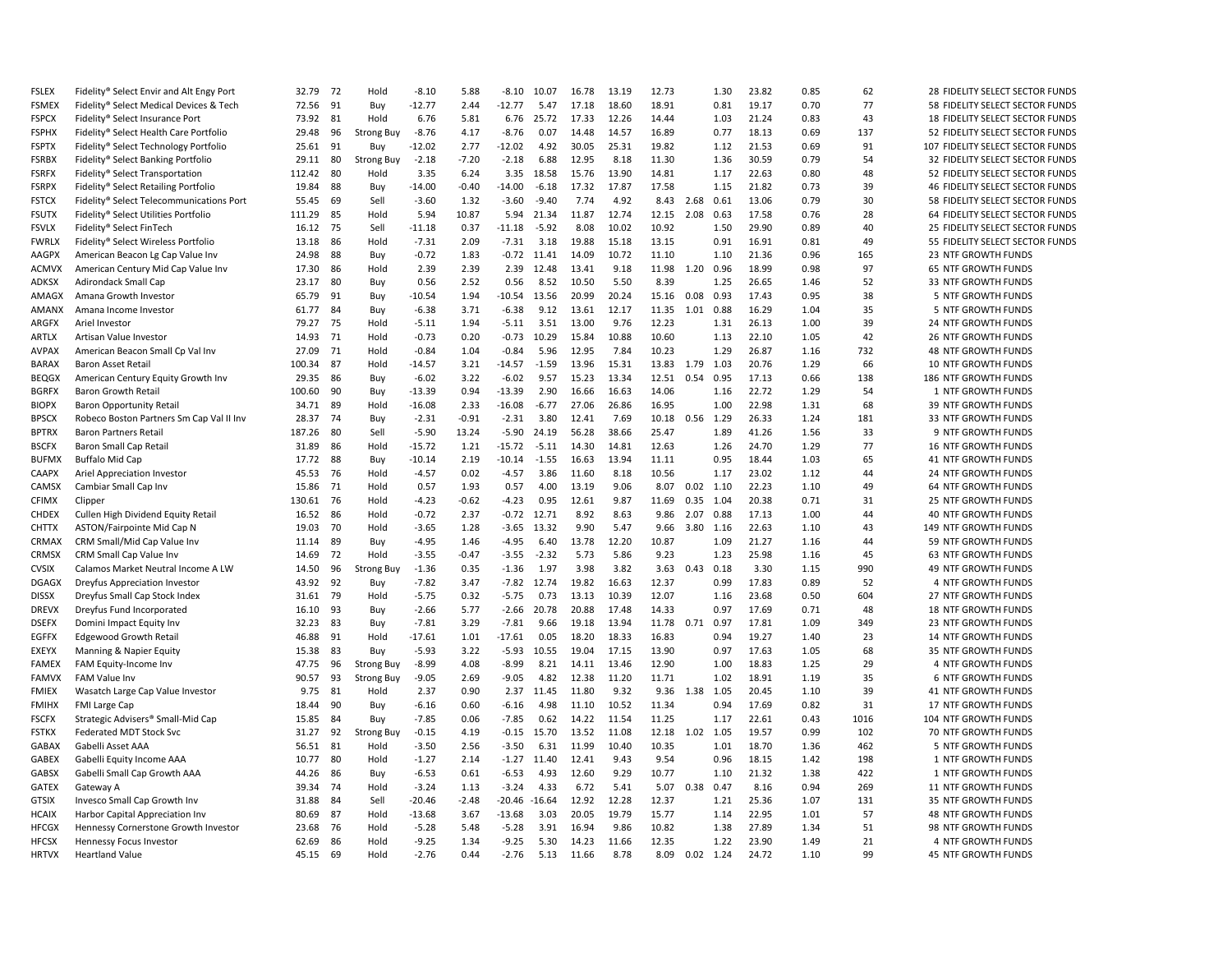| <b>FSLEX</b> | Fidelity® Select Envir and Alt Engy Port                   | 32.79  | 72 | Hold              | $-8.10$  | 5.88    | $-8.10$  | 10.07         | 16.78 | 13.19 | 12.73 |      | 1.30        | 23.82 | 0.85 | 62   | 28 FIDELITY SELECT SECTOR FUNDS  |
|--------------|------------------------------------------------------------|--------|----|-------------------|----------|---------|----------|---------------|-------|-------|-------|------|-------------|-------|------|------|----------------------------------|
| <b>FSMEX</b> | Fidelity® Select Medical Devices & Tech                    | 72.56  | 91 | Buy               | $-12.77$ | 2.44    | $-12.77$ | 5.47          | 17.18 | 18.60 | 18.91 |      | 0.81        | 19.17 | 0.70 | 77   | 58 FIDELITY SELECT SECTOR FUNDS  |
| <b>FSPCX</b> | Fidelity® Select Insurance Port                            | 73.92  | 81 | Hold              | 6.76     | 5.81    | 6.76     | 25.72         | 17.33 | 12.26 | 14.44 |      | 1.03        | 21.24 | 0.83 | 43   | 18 FIDELITY SELECT SECTOR FUNDS  |
| <b>FSPHX</b> | Fidelity® Select Health Care Portfolio                     | 29.48  | 96 | <b>Strong Buy</b> | $-8.76$  | 4.17    | $-8.76$  | 0.07          | 14.48 | 14.57 | 16.89 |      | 0.77        | 18.13 | 0.69 | 137  | 52 FIDELITY SELECT SECTOR FUNDS  |
| <b>FSPTX</b> | Fidelity® Select Technology Portfolio                      | 25.61  | 91 | Buy               | $-12.02$ | 2.77    | $-12.02$ | 4.92          | 30.05 | 25.31 | 19.82 |      | 1.12        | 21.53 | 0.69 | 91   | 107 FIDELITY SELECT SECTOR FUNDS |
| <b>FSRBX</b> | Fidelity® Select Banking Portfolio                         | 29.11  | 80 | <b>Strong Buy</b> | $-2.18$  | $-7.20$ | $-2.18$  | 6.88          | 12.95 | 8.18  | 11.30 |      | 1.36        | 30.59 | 0.79 | 54   | 32 FIDELITY SELECT SECTOR FUNDS  |
| <b>FSRFX</b> | Fidelity® Select Transportation                            | 112.42 | 80 | Hold              | 3.35     | 6.24    | 3.35     | 18.58         | 15.76 | 13.90 | 14.81 |      | 1.17        | 22.63 | 0.80 | 48   | 52 FIDELITY SELECT SECTOR FUNDS  |
| <b>FSRPX</b> | Fidelity® Select Retailing Portfolio                       | 19.84  | 88 | Buy               | $-14.00$ | $-0.40$ | $-14.00$ | $-6.18$       | 17.32 | 17.87 | 17.58 |      | 1.15        | 21.82 | 0.73 | 39   | 46 FIDELITY SELECT SECTOR FUNDS  |
| <b>FSTCX</b> | Fidelity® Select Telecommunications Port                   | 55.45  | 69 | Sell              | $-3.60$  | 1.32    | $-3.60$  | $-9.40$       | 7.74  | 4.92  | 8.43  | 2.68 | 0.61        | 13.06 | 0.79 | 30   | 58 FIDELITY SELECT SECTOR FUNDS  |
| <b>FSUTX</b> | Fidelity® Select Utilities Portfolio                       | 111.29 | 85 | Hold              | 5.94     | 10.87   | 5.94     | 21.34         | 11.87 | 12.74 | 12.15 | 2.08 | 0.63        | 17.58 | 0.76 | 28   | 64 FIDELITY SELECT SECTOR FUNDS  |
| <b>FSVLX</b> | Fidelity® Select FinTech                                   | 16.12  | 75 | Sell              | $-11.18$ | 0.37    | $-11.18$ | $-5.92$       | 8.08  | 10.02 | 10.92 |      | 1.50        | 29.90 | 0.89 | 40   | 25 FIDELITY SELECT SECTOR FUNDS  |
| <b>FWRLX</b> | Fidelity® Select Wireless Portfolio                        | 13.18  | 86 | Hold              | $-7.31$  | 2.09    | $-7.31$  | 3.18          | 19.88 | 15.18 | 13.15 |      | 0.91        | 16.91 | 0.81 | 49   | 55 FIDELITY SELECT SECTOR FUNDS  |
| AAGPX        | American Beacon Lg Cap Value Inv                           | 24.98  | 88 | Buy               | $-0.72$  | 1.83    | $-0.72$  | 11.41         | 14.09 | 10.72 | 11.10 |      | 1.10        | 21.36 | 0.96 | 165  | 23 NTF GROWTH FUNDS              |
| <b>ACMVX</b> |                                                            | 17.30  | 86 | Hold              | 2.39     | 2.39    | 2.39     | 12.48         | 13.41 | 9.18  | 11.98 | 1.20 | 0.96        | 18.99 | 0.98 | 97   | 65 NTF GROWTH FUNDS              |
| ADKSX        | American Century Mid Cap Value Inv<br>Adirondack Small Cap | 23.17  | 80 |                   | 0.56     | 2.52    | 0.56     | 8.52          | 10.50 | 5.50  | 8.39  |      | 1.25        | 26.65 | 1.46 | 52   | 33 NTF GROWTH FUNDS              |
|              |                                                            |        | 91 | Buy               | $-10.54$ | 1.94    | $-10.54$ | 13.56         | 20.99 | 20.24 |       | 0.08 | 0.93        | 17.43 | 0.95 | 38   |                                  |
| AMAGX        | Amana Growth Investor                                      | 65.79  |    | Buy               |          |         |          |               |       |       | 15.16 |      |             |       |      |      | 5 NTF GROWTH FUNDS               |
| <b>AMANX</b> | Amana Income Investor                                      | 61.77  | 84 | Buy               | $-6.38$  | 3.71    | $-6.38$  | 9.12          | 13.61 | 12.17 | 11.35 | 1.01 | 0.88        | 16.29 | 1.04 | 35   | 5 NTF GROWTH FUNDS               |
| ARGFX        | Ariel Investor                                             | 79.27  | 75 | Hold              | $-5.11$  | 1.94    | $-5.11$  | 3.51          | 13.00 | 9.76  | 12.23 |      | 1.31        | 26.13 | 1.00 | 39   | 24 NTF GROWTH FUNDS              |
| ARTLX        | Artisan Value Investor                                     | 14.93  | 71 | Hold              | $-0.73$  | 0.20    | $-0.73$  | 10.29         | 15.84 | 10.88 | 10.60 |      | 1.13        | 22.10 | 1.05 | 42   | <b>26 NTF GROWTH FUNDS</b>       |
| <b>AVPAX</b> | American Beacon Small Cp Val Inv                           | 27.09  | 71 | Hold              | $-0.84$  | 1.04    | $-0.84$  | 5.96          | 12.95 | 7.84  | 10.23 |      | 1.29        | 26.87 | 1.16 | 732  | <b>48 NTF GROWTH FUNDS</b>       |
| BARAX        | <b>Baron Asset Retail</b>                                  | 100.34 | 87 | Hold              | $-14.57$ | 3.21    | $-14.57$ | $-1.59$       | 13.96 | 15.31 | 13.83 | 1.79 | 1.03        | 20.76 | 1.29 | 66   | 10 NTF GROWTH FUNDS              |
| <b>BEQGX</b> | American Century Equity Growth Inv                         | 29.35  | 86 | Buy               | $-6.02$  | 3.22    | $-6.02$  | 9.57          | 15.23 | 13.34 | 12.51 | 0.54 | 0.95        | 17.13 | 0.66 | 138  | 186 NTF GROWTH FUNDS             |
| <b>BGRFX</b> | <b>Baron Growth Retail</b>                                 | 100.60 | 90 | Buy               | $-13.39$ | 0.94    | $-13.39$ | 2.90          | 16.66 | 16.63 | 14.06 |      | 1.16        | 22.72 | 1.29 | 54   | 1 NTF GROWTH FUNDS               |
| <b>BIOPX</b> | <b>Baron Opportunity Retail</b>                            | 34.71  | 89 | Hold              | $-16.08$ | 2.33    | $-16.08$ | $-6.77$       | 27.06 | 26.86 | 16.95 |      | 1.00        | 22.98 | 1.31 | 68   | 39 NTF GROWTH FUNDS              |
| <b>BPSCX</b> | Robeco Boston Partners Sm Cap Val II Inv                   | 28.37  | 74 | Buy               | $-2.31$  | $-0.91$ | $-2.31$  | 3.80          | 12.41 | 7.69  | 10.18 |      | 0.56 1.29   | 26.33 | 1.24 | 181  | 33 NTF GROWTH FUNDS              |
| <b>BPTRX</b> | <b>Baron Partners Retail</b>                               | 187.26 | 80 | Sell              | $-5.90$  | 13.24   | $-5.90$  | 24.19         | 56.28 | 38.66 | 25.47 |      | 1.89        | 41.26 | 1.56 | 33   | 9 NTF GROWTH FUNDS               |
| <b>BSCFX</b> | Baron Small Cap Retail                                     | 31.89  | 86 | Hold              | $-15.72$ | 1.21    | $-15.72$ | $-5.11$       | 14.30 | 14.81 | 12.63 |      | 1.26        | 24.70 | 1.29 | 77   | <b>16 NTF GROWTH FUNDS</b>       |
| <b>BUFMX</b> | <b>Buffalo Mid Cap</b>                                     | 17.72  | 88 | Buy               | $-10.14$ | 2.19    | $-10.14$ | $-1.55$       | 16.63 | 13.94 | 11.11 |      | 0.95        | 18.44 | 1.03 | 65   | 41 NTF GROWTH FUNDS              |
| <b>CAAPX</b> | Ariel Appreciation Investor                                | 45.53  | 76 | Hold              | $-4.57$  | 0.02    | $-4.57$  | 3.86          | 11.60 | 8.18  | 10.56 |      | 1.17        | 23.02 | 1.12 | 44   | 24 NTF GROWTH FUNDS              |
| CAMSX        | Cambiar Small Cap Inv                                      | 15.86  | 71 | Hold              | 0.57     | 1.93    | 0.57     | 4.00          | 13.19 | 9.06  | 8.07  |      | $0.02$ 1.10 | 22.23 | 1.10 | 49   | 64 NTF GROWTH FUNDS              |
| <b>CFIMX</b> | Clipper                                                    | 130.61 | 76 | Hold              | $-4.23$  | $-0.62$ | $-4.23$  | 0.95          | 12.61 | 9.87  | 11.69 | 0.35 | 1.04        | 20.38 | 0.71 | 31   | 25 NTF GROWTH FUNDS              |
| <b>CHDEX</b> | Cullen High Dividend Equity Retail                         | 16.52  | 86 | Hold              | $-0.72$  | 2.37    |          | $-0.72$ 12.71 | 8.92  | 8.63  | 9.86  | 2.07 | 0.88        | 17.13 | 1.00 | 44   | <b>40 NTF GROWTH FUNDS</b>       |
| <b>CHTTX</b> | ASTON/Fairpointe Mid Cap N                                 | 19.03  | 70 | Hold              | $-3.65$  | 1.28    | $-3.65$  | 13.32         | 9.90  | 5.47  | 9.66  |      | 3.80 1.16   | 22.63 | 1.10 | 43   | 149 NTF GROWTH FUNDS             |
| CRMAX        | CRM Small/Mid Cap Value Inv                                | 11.14  | 89 | Buy               | $-4.95$  | 1.46    | $-4.95$  | 6.40          | 13.78 | 12.20 | 10.87 |      | 1.09        | 21.27 | 1.16 | 44   | 59 NTF GROWTH FUNDS              |
| <b>CRMSX</b> | CRM Small Cap Value Inv                                    | 14.69  | 72 | Hold              | $-3.55$  | $-0.47$ | $-3.55$  | $-2.32$       | 5.73  | 5.86  | 9.23  |      | 1.23        | 25.98 | 1.16 | 45   | <b>63 NTF GROWTH FUNDS</b>       |
| <b>CVSIX</b> | Calamos Market Neutral Income A LW                         | 14.50  | 96 | <b>Strong Buy</b> | $-1.36$  | 0.35    | $-1.36$  | 1.97          | 3.98  | 3.82  | 3.63  | 0.43 | 0.18        | 3.30  | 1.15 | 990  | 49 NTF GROWTH FUNDS              |
| <b>DGAGX</b> | Dreyfus Appreciation Investor                              | 43.92  | 92 | Buy               | $-7.82$  | 3.47    | $-7.82$  | 12.74         | 19.82 | 16.63 | 12.37 |      | 0.99        | 17.83 | 0.89 | 52   | 4 NTF GROWTH FUNDS               |
| <b>DISSX</b> | Dreyfus Small Cap Stock Index                              | 31.61  | 79 | Hold              | $-5.75$  | 0.32    | $-5.75$  | 0.73          | 13.13 | 10.39 | 12.07 |      | 1.16        | 23.68 | 0.50 | 604  | 27 NTF GROWTH FUNDS              |
| <b>DREVX</b> | Dreyfus Fund Incorporated                                  | 16.10  | 93 | Buv               | $-2.66$  | 5.77    | $-2.66$  | 20.78         | 20.88 | 17.48 | 14.33 |      | 0.97        | 17.69 | 0.71 | 48   | <b>18 NTF GROWTH FUNDS</b>       |
| <b>DSEFX</b> | Domini Impact Equity Inv                                   | 32.23  | 83 | Buy               | $-7.81$  | 3.29    | $-7.81$  | 9.66          | 19.18 | 13.94 | 11.78 | 0.71 | 0.97        | 17.81 | 1.09 | 349  | 23 NTF GROWTH FUNDS              |
| <b>EGFFX</b> | <b>Edgewood Growth Retail</b>                              | 46.88  | 91 | Hold              | $-17.61$ | 1.01    | $-17.61$ | 0.05          | 18.20 | 18.33 | 16.83 |      | 0.94        | 19.27 | 1.40 | 23   | 14 NTF GROWTH FUNDS              |
| <b>EXEYX</b> | Manning & Napier Equity                                    | 15.38  | 83 | Buy               | $-5.93$  | 3.22    | $-5.93$  | 10.55         | 19.04 | 17.15 | 13.90 |      | 0.97        | 17.63 | 1.05 | 68   | 35 NTF GROWTH FUNDS              |
| <b>FAMEX</b> | FAM Equity-Income Inv                                      | 47.75  | 96 | <b>Strong Buy</b> | $-8.99$  | 4.08    | $-8.99$  | 8.21          | 14.11 | 13.46 | 12.90 |      | 1.00        | 18.83 | 1.25 | 29   | 4 NTF GROWTH FUNDS               |
| <b>FAMVX</b> | FAM Value Inv                                              | 90.57  | 93 | <b>Strong Buy</b> | $-9.05$  | 2.69    | $-9.05$  | 4.82          | 12.38 | 11.20 | 11.71 |      | 1.02        | 18.91 | 1.19 | 35   | <b>6 NTF GROWTH FUNDS</b>        |
| <b>FMIEX</b> | Wasatch Large Cap Value Investor                           | 9.75   | 81 | Hold              | 2.37     | 0.90    | 2.37     | 11.45         | 11.80 | 9.32  | 9.36  | 1.38 | 1.05        | 20.45 | 1.10 | 39   | 41 NTF GROWTH FUNDS              |
| <b>FMIHX</b> | <b>FMI Large Cap</b>                                       | 18.44  | 90 | Buy               | $-6.16$  | 0.60    | $-6.16$  | 4.98          | 11.10 | 10.52 | 11.34 |      | 0.94        | 17.69 | 0.82 | 31   | 17 NTF GROWTH FUNDS              |
| <b>FSCFX</b> | Strategic Advisers® Small-Mid Cap                          | 15.85  | 84 | Buv               | $-7.85$  | 0.06    | $-7.85$  | 0.62          | 14.22 | 11.54 | 11.25 |      | 1.17        | 22.61 | 0.43 | 1016 | 104 NTF GROWTH FUNDS             |
| <b>FSTKX</b> | Federated MDT Stock Svc                                    | 31.27  | 92 | <b>Strong Buy</b> | $-0.15$  | 4.19    |          | $-0.15$ 15.70 | 13.52 | 11.08 | 12.18 |      | 1.02 1.05   | 19.57 | 0.99 | 102  | 70 NTF GROWTH FUNDS              |
|              | Gabelli Asset AAA                                          | 56.51  | 81 | Hold              | $-3.50$  | 2.56    | $-3.50$  | 6.31          | 11.99 | 10.40 | 10.35 |      | 1.01        | 18.70 | 1.36 | 462  | 5 NTF GROWTH FUNDS               |
| <b>GABAX</b> |                                                            |        |    |                   |          |         |          |               |       |       |       |      |             |       |      |      |                                  |
| <b>GABEX</b> | Gabelli Equity Income AAA                                  | 10.77  | 80 | Hold              | $-1.27$  | 2.14    | $-1.27$  | 11.40         | 12.41 | 9.43  | 9.54  |      | 0.96        | 18.15 | 1.42 | 198  | 1 NTF GROWTH FUNDS               |
| <b>GABSX</b> | Gabelli Small Cap Growth AAA                               | 44.26  | 86 | Buy               | $-6.53$  | 0.61    | $-6.53$  | 4.93          | 12.60 | 9.29  | 10.77 |      | 1.10        | 21.32 | 1.38 | 422  | 1 NTF GROWTH FUNDS               |
| <b>GATEX</b> | Gateway A                                                  | 39.34  | 74 | Hold              | $-3.24$  | 1.13    | $-3.24$  | 4.33          | 6.72  | 5.41  | 5.07  | 0.38 | 0.47        | 8.16  | 0.94 | 269  | 11 NTF GROWTH FUNDS              |
| <b>GTSIX</b> | Invesco Small Cap Growth Inv                               | 31.88  | 84 | Sell              | $-20.46$ | $-2.48$ | $-20.46$ | $-16.64$      | 12.92 | 12.28 | 12.37 |      | 1.21        | 25.36 | 1.07 | 131  | 35 NTF GROWTH FUNDS              |
| HCAIX        | Harbor Capital Appreciation Inv                            | 80.69  | 87 | Hold              | $-13.68$ | 3.67    | $-13.68$ | 3.03          | 20.05 | 19.79 | 15.77 |      | 1.14        | 22.95 | 1.01 | 57   | <b>48 NTF GROWTH FUNDS</b>       |
| <b>HFCGX</b> | Hennessy Cornerstone Growth Investor                       | 23.68  | 76 | Hold              | $-5.28$  | 5.48    | $-5.28$  | 3.91          | 16.94 | 9.86  | 10.82 |      | 1.38        | 27.89 | 1.34 | 51   | 98 NTF GROWTH FUNDS              |
| <b>HFCSX</b> | Hennessy Focus Investor                                    | 62.69  | 86 | Hold              | $-9.25$  | 1.34    | $-9.25$  | 5.30          | 14.23 | 11.66 | 12.35 |      | 1.22        | 23.90 | 1.49 | 21   | 4 NTF GROWTH FUNDS               |
| <b>HRTVX</b> | <b>Heartland Value</b>                                     | 45.15  | 69 | Hold              | $-2.76$  | 0.44    | $-2.76$  | 5.13          | 11.66 | 8.78  | 8.09  |      | $0.02$ 1.24 | 24.72 | 1.10 | 99   | <b>45 NTF GROWTH FUNDS</b>       |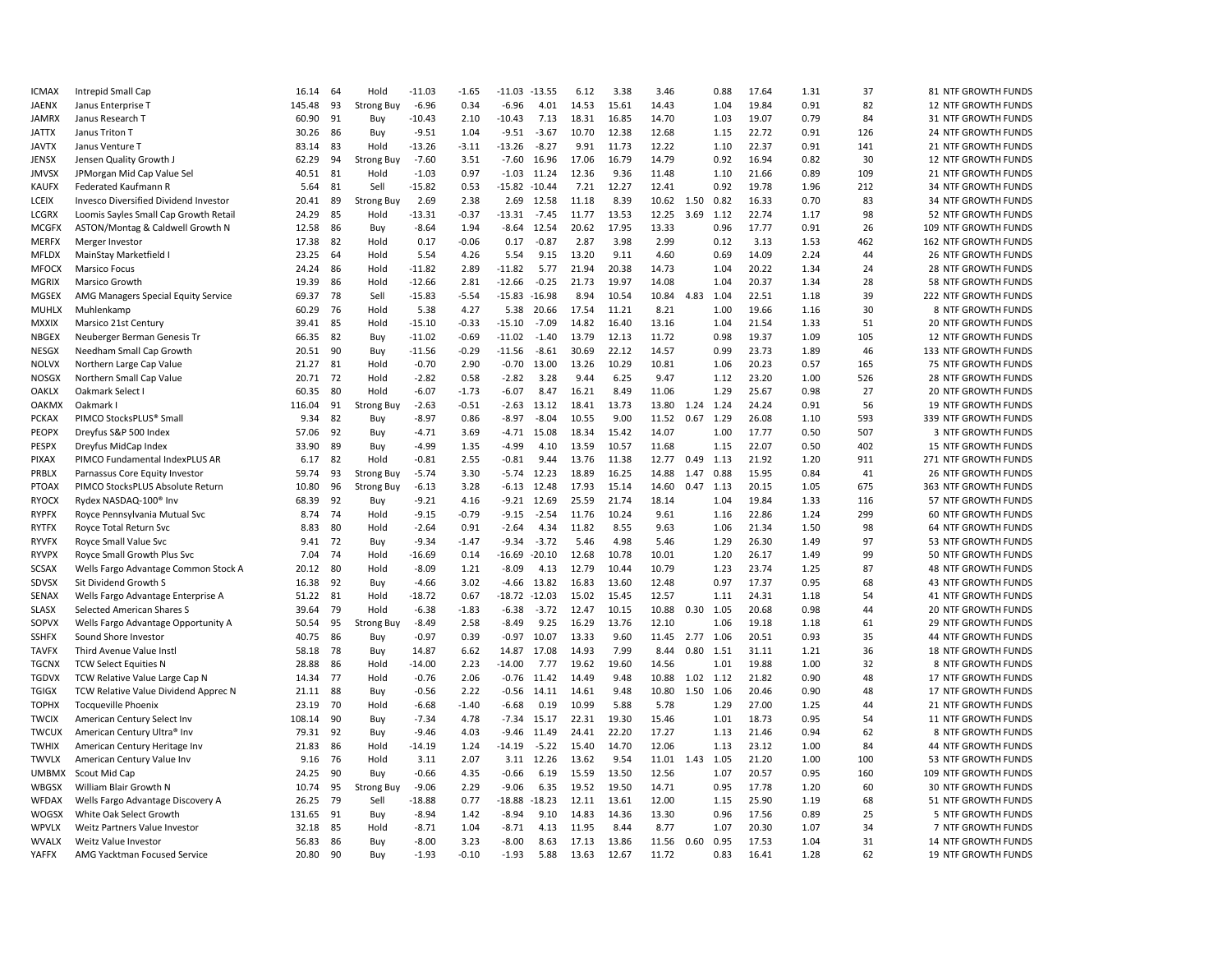| <b>ICMAX</b>          | Intrepid Small Cap                                                 | 16.14         | 64 | Hold              | $-11.03$           | $-1.65$ | $-11.03 -13.55$ |          | 6.12  | 3.38  | 3.46           |             | 0.88 | 17.64 | 1.31         | 37  | 81 NTF GROWTH FUNDS                         |
|-----------------------|--------------------------------------------------------------------|---------------|----|-------------------|--------------------|---------|-----------------|----------|-------|-------|----------------|-------------|------|-------|--------------|-----|---------------------------------------------|
| <b>JAENX</b>          | Janus Enterprise T                                                 | 145.48        | 93 | <b>Strong Buy</b> | $-6.96$            | 0.34    | $-6.96$         | 4.01     | 14.53 | 15.61 | 14.43          |             | 1.04 | 19.84 | 0.91         | 82  | 12 NTF GROWTH FUNDS                         |
| <b>JAMRX</b>          | Janus Research T                                                   | 60.90         | 91 | Buy               | $-10.43$           | 2.10    | $-10.43$        | 7.13     | 18.31 | 16.85 | 14.70          |             | 1.03 | 19.07 | 0.79         | 84  | 31 NTF GROWTH FUNDS                         |
| <b>JATTX</b>          | Janus Triton T                                                     | 30.26         | 86 | Buy               | $-9.51$            | 1.04    | $-9.51$         | $-3.67$  | 10.70 | 12.38 | 12.68          |             | 1.15 | 22.72 | 0.91         | 126 | 24 NTF GROWTH FUNDS                         |
| <b>JAVTX</b>          | Janus Venture T                                                    | 83.14         | 83 | Hold              | $-13.26$           | $-3.11$ | $-13.26$        | $-8.27$  | 9.91  | 11.73 | 12.22          |             | 1.10 | 22.37 | 0.91         | 141 | 21 NTF GROWTH FUNDS                         |
| JENSX                 | Jensen Quality Growth .                                            | 62.29         | 94 | <b>Strong Buy</b> | $-7.60$            | 3.51    | $-7.60$         | 16.96    | 17.06 | 16.79 | 14.79          |             | 0.92 | 16.94 | 0.82         | 30  | 12 NTF GROWTH FUNDS                         |
| <b>JMVSX</b>          | JPMorgan Mid Cap Value Sel                                         | 40.51         | 81 | Hold              | $-1.03$            | 0.97    | $-1.03$         | 11.24    | 12.36 | 9.36  | 11.48          |             | 1.10 | 21.66 | 0.89         | 109 | 21 NTF GROWTH FUNDS                         |
| <b>KAUFX</b>          | Federated Kaufmann R                                               | 5.64          | 81 | Sell              | $-15.82$           | 0.53    | $-15.82$        | $-10.44$ | 7.21  | 12.27 | 12.41          |             | 0.92 | 19.78 | 1.96         | 212 | 34 NTF GROWTH FUNDS                         |
| <b>LCEIX</b>          | <b>Invesco Diversified Dividend Investor</b>                       | 20.41         | 89 | <b>Strong Buy</b> | 2.69               | 2.38    | 2.69            | 12.58    | 11.18 | 8.39  | 10.62          | 1.50        | 0.82 | 16.33 | 0.70         | 83  | <b>34 NTF GROWTH FUNDS</b>                  |
| <b>LCGRX</b>          | Loomis Sayles Small Cap Growth Retail                              | 24.29         | 85 | Hold              | $-13.31$           | $-0.37$ | $-13.31$        | $-7.45$  | 11.77 | 13.53 | 12.25          | 3.69        | 1.12 | 22.74 | 1.17         | 98  | 52 NTF GROWTH FUNDS                         |
| <b>MCGFX</b>          | ASTON/Montag & Caldwell Growth N                                   | 12.58         | 86 | Buy               | $-8.64$            | 1.94    | $-8.64$         | 12.54    | 20.62 | 17.95 | 13.33          |             | 0.96 | 17.77 | 0.91         | 26  | 109 NTF GROWTH FUNDS                        |
| <b>MERFX</b>          | Merger Investor                                                    | 17.38         | 82 | Hold              | 0.17               | $-0.06$ | 0.17            | $-0.87$  | 2.87  | 3.98  | 2.99           |             | 0.12 | 3.13  | 1.53         | 462 | 162 NTF GROWTH FUNDS                        |
| <b>MFLDX</b>          | MainStay Marketfield I                                             | 23.25         | 64 | Hold              | 5.54               | 4.26    | 5.54            | 9.15     | 13.20 | 9.11  | 4.60           |             | 0.69 | 14.09 | 2.24         | 44  | 26 NTF GROWTH FUNDS                         |
| <b>MFOCX</b>          | Marsico Focus                                                      | 24.24         | 86 | Hold              | $-11.82$           | 2.89    | $-11.82$        | 5.77     | 21.94 | 20.38 | 14.73          |             | 1.04 | 20.22 | 1.34         | 24  | 28 NTF GROWTH FUNDS                         |
| MGRIX                 | Marsico Growth                                                     | 19.39         | 86 | Hold              | $-12.66$           | 2.81    | $-12.66$        | $-0.25$  | 21.73 | 19.97 | 14.08          |             | 1.04 | 20.37 | 1.34         | 28  | 58 NTF GROWTH FUNDS                         |
| <b>MGSEX</b>          | AMG Managers Special Equity Service                                | 69.37         | 78 | Sell              | $-15.83$           | $-5.54$ | $-15.83$        | $-16.98$ | 8.94  | 10.54 | 10.84          | 4.83        | 1.04 | 22.51 | 1.18         | 39  | 222 NTF GROWTH FUNDS                        |
| <b>MUHLX</b>          | Muhlenkamp                                                         | 60.29         | 76 | Hold              | 5.38               | 4.27    | 5.38            | 20.66    | 17.54 | 11.21 | 8.21           |             | 1.00 | 19.66 | 1.16         | 30  | 8 NTF GROWTH FUNDS                          |
| <b>MXXIX</b>          | Marsico 21st Century                                               | 39.41         | 85 | Hold              | $-15.10$           | $-0.33$ | $-15.10$        | $-7.09$  | 14.82 | 16.40 | 13.16          |             | 1.04 | 21.54 | 1.33         | 51  | 20 NTF GROWTH FUNDS                         |
| <b>NBGEX</b>          | Neuberger Berman Genesis Tr                                        | 66.35         | 82 | Buy               | $-11.02$           | $-0.69$ | $-11.02$        | $-1.40$  | 13.79 | 12.13 | 11.72          |             | 0.98 | 19.37 | 1.09         | 105 | 12 NTF GROWTH FUNDS                         |
| NESGX                 | Needham Small Cap Growth                                           | 20.51         | 90 | Buy               | $-11.56$           | $-0.29$ | $-11.56$        | $-8.61$  | 30.69 | 22.12 | 14.57          |             | 0.99 | 23.73 | 1.89         | 46  | 133 NTF GROWTH FUNDS                        |
| <b>NOLVX</b>          | Northern Large Cap Value                                           | 21.27         | 81 | Hold              | $-0.70$            | 2.90    | $-0.70$         | 13.00    | 13.26 | 10.29 | 10.81          |             | 1.06 | 20.23 | 0.57         | 165 | 75 NTF GROWTH FUNDS                         |
| <b>NOSGX</b>          | Northern Small Cap Value                                           | 20.71 72      |    | Hold              | $-2.82$            | 0.58    | $-2.82$         | 3.28     | 9.44  | 6.25  | 9.47           |             | 1.12 | 23.20 | 1.00         | 526 | 28 NTF GROWTH FUNDS                         |
| <b>OAKLX</b>          | Oakmark Select I                                                   | 60.35         | 80 | Hold              | $-6.07$            | $-1.73$ | $-6.07$         | 8.47     | 16.21 | 8.49  | 11.06          |             | 1.29 | 25.67 | 0.98         | 27  | 20 NTF GROWTH FUNDS                         |
| <b>OAKMX</b>          | Oakmark I                                                          | 116.04        | 91 | <b>Strong Buy</b> | $-2.63$            | $-0.51$ | $-2.63$         | 13.12    | 18.41 | 13.73 | 13.80          | 1.24        | 1.24 | 24.24 | 0.91         | 56  | 19 NTF GROWTH FUNDS                         |
| <b>PCKAX</b>          | PIMCO StocksPLUS® Small                                            | 9.34          | 82 | Buy               | $-8.97$            | 0.86    | -8.97           | $-8.04$  | 10.55 | 9.00  | 11.52          | 0.67        | 1.29 | 26.08 | 1.10         | 593 | 339 NTF GROWTH FUNDS                        |
| <b>PEOPX</b>          | Dreyfus S&P 500 Index                                              | 57.06         | 92 | Buy               | $-4.71$            | 3.69    | $-4.71$         | 15.08    | 18.34 | 15.42 | 14.07          |             | 1.00 | 17.77 | 0.50         | 507 | 3 NTF GROWTH FUNDS                          |
| <b>PESPX</b>          | Dreyfus MidCap Index                                               | 33.90         | 89 | Buy               | $-4.99$            | 1.35    | $-4.99$         | 4.10     | 13.59 | 10.57 | 11.68          |             | 1.15 | 22.07 | 0.50         | 402 | 15 NTF GROWTH FUNDS                         |
|                       |                                                                    |               | 82 | Hold              | $-0.81$            | 2.55    | $-0.81$         | 9.44     | 13.76 | 11.38 |                | $0.49$ 1.13 |      | 21.92 | 1.20         | 911 |                                             |
| <b>PIXAX</b>          | PIMCO Fundamental IndexPLUS AR                                     | 6.17<br>59.74 | 93 |                   | $-5.74$            | 3.30    |                 | 12.23    | 18.89 | 16.25 | 12.77<br>14.88 | 1.47        | 0.88 | 15.95 | 0.84         | 41  | 271 NTF GROWTH FUNDS                        |
| PRBLX<br><b>PTOAX</b> | Parnassus Core Equity Investor<br>PIMCO StocksPLUS Absolute Return | 10.80         | 96 | <b>Strong Buy</b> | $-6.13$            | 3.28    | -5.74<br>-6.13  | 12.48    | 17.93 | 15.14 | 14.60          | 0.47        | 1.13 | 20.15 | 1.05         | 675 | 26 NTF GROWTH FUNDS<br>363 NTF GROWTH FUNDS |
| <b>RYOCX</b>          |                                                                    | 68.39         | 92 | <b>Strong Buy</b> |                    | 4.16    | $-9.21$         | 12.69    | 25.59 | 21.74 | 18.14          |             | 1.04 | 19.84 |              | 116 | 57 NTF GROWTH FUNDS                         |
| <b>RYPFX</b>          | Rydex NASDAQ-100® Inv                                              | 8.74          | 74 | Buy<br>Hold       | $-9.21$<br>$-9.15$ | $-0.79$ | $-9.15$         | $-2.54$  | 11.76 | 10.24 | 9.61           |             | 1.16 | 22.86 | 1.33<br>1.24 | 299 | 60 NTF GROWTH FUNDS                         |
|                       | Royce Pennsylvania Mutual Svc                                      |               |    |                   |                    |         |                 |          |       |       |                |             |      |       |              |     |                                             |
| <b>RYTFX</b>          | Royce Total Return Svc                                             | 8.83          | 80 | Hold              | $-2.64$            | 0.91    | $-2.64$         | 4.34     | 11.82 | 8.55  | 9.63           |             | 1.06 | 21.34 | 1.50         | 98  | 64 NTF GROWTH FUNDS                         |
| <b>RYVFX</b>          | Royce Small Value Svc                                              | 9.41          | 72 | Buy               | $-9.34$            | $-1.47$ | $-9.34$         | $-3.72$  | 5.46  | 4.98  | 5.46           |             | 1.29 | 26.30 | 1.49         | 97  | 53 NTF GROWTH FUNDS                         |
| <b>RYVPX</b>          | Royce Small Growth Plus Svc                                        | 7.04          | 74 | Hold              | $-16.69$           | 0.14    | $-16.69$        | $-20.10$ | 12.68 | 10.78 | 10.01          |             | 1.20 | 26.17 | 1.49         | 99  | 50 NTF GROWTH FUNDS                         |
| <b>SCSAX</b>          | Wells Fargo Advantage Common Stock A                               | 20.12         | 80 | Hold              | $-8.09$            | 1.21    | $-8.09$         | 4.13     | 12.79 | 10.44 | 10.79          |             | 1.23 | 23.74 | 1.25         | 87  | 48 NTF GROWTH FUNDS                         |
| <b>SDVSX</b>          | Sit Dividend Growth S                                              | 16.38         | 92 | Buy               | $-4.66$            | 3.02    | $-4.66$         | 13.82    | 16.83 | 13.60 | 12.48          |             | 0.97 | 17.37 | 0.95         | 68  | 43 NTF GROWTH FUNDS                         |
| <b>SENAX</b>          | Wells Fargo Advantage Enterprise A                                 | 51.22         | 81 | Hold              | $-18.72$           | 0.67    | $-18.72 -12.03$ |          | 15.02 | 15.45 | 12.57          |             | 1.11 | 24.31 | 1.18         | 54  | 41 NTF GROWTH FUNDS                         |
| <b>SLASX</b>          | Selected American Shares S                                         | 39.64         | 79 | Hold              | $-6.38$            | $-1.83$ | $-6.38$         | $-3.72$  | 12.47 | 10.15 | 10.88          | 0.30        | 1.05 | 20.68 | 0.98         | 44  | 20 NTF GROWTH FUNDS                         |
| SOPVX                 | Wells Fargo Advantage Opportunity A                                | 50.54         | 95 | <b>Strong Buy</b> | $-8.49$            | 2.58    | $-8.49$         | 9.25     | 16.29 | 13.76 | 12.10          |             | 1.06 | 19.18 | 1.18         | 61  | 29 NTF GROWTH FUNDS                         |
| <b>SSHFX</b>          | Sound Shore Investor                                               | 40.75         | 86 | Buy               | $-0.97$            | 0.39    | $-0.97$         | 10.07    | 13.33 | 9.60  | 11.45          | 2.77        | 1.06 | 20.51 | 0.93         | 35  | 44 NTF GROWTH FUNDS                         |
| <b>TAVFX</b>          | Third Avenue Value Instl                                           | 58.18         | 78 | Buy               | 14.87              | 6.62    | 14.87           | 17.08    | 14.93 | 7.99  | 8.44           | 0.80        | 1.51 | 31.11 | 1.21         | 36  | <b>18 NTF GROWTH FUNDS</b>                  |
| <b>TGCNX</b>          | <b>TCW Select Equities N</b>                                       | 28.88         | 86 | Hold              | $-14.00$           | 2.23    | $-14.00$        | 7.77     | 19.62 | 19.60 | 14.56          |             | 1.01 | 19.88 | 1.00         | 32  | 8 NTF GROWTH FUNDS                          |
| <b>TGDVX</b>          | TCW Relative Value Large Cap N                                     | 14.34         | 77 | Hold              | $-0.76$            | 2.06    | $-0.76$         | 11.42    | 14.49 | 9.48  | 10.88          | 1.02 1.12   |      | 21.82 | 0.90         | 48  | 17 NTF GROWTH FUNDS                         |
| <b>TGIGX</b>          | TCW Relative Value Dividend Apprec N                               | 21.11         | 88 | Buy               | $-0.56$            | 2.22    | $-0.56$         | 14.11    | 14.61 | 9.48  | 10.80          | 1.50        | 1.06 | 20.46 | 0.90         | 48  | 17 NTF GROWTH FUNDS                         |
| <b>TOPHX</b>          | <b>Tocqueville Phoenix</b>                                         | 23.19         | 70 | Hold              | $-6.68$            | $-1.40$ | $-6.68$         | 0.19     | 10.99 | 5.88  | 5.78           |             | 1.29 | 27.00 | 1.25         | 44  | 21 NTF GROWTH FUNDS                         |
| <b>TWCIX</b>          | American Century Select Inv                                        | 108.14        | 90 | Buy               | $-7.34$            | 4.78    | $-7.34$         | 15.17    | 22.31 | 19.30 | 15.46          |             | 1.01 | 18.73 | 0.95         | 54  | 11 NTF GROWTH FUNDS                         |
| <b>TWCUX</b>          | American Century Ultra® Inv                                        | 79.31         | 92 | Buy               | $-9.46$            | 4.03    | $-9.46$         | 11.49    | 24.41 | 22.20 | 17.27          |             | 1.13 | 21.46 | 0.94         | 62  | 8 NTF GROWTH FUNDS                          |
| <b>TWHIX</b>          | American Century Heritage Inv                                      | 21.83         | 86 | Hold              | $-14.19$           | 1.24    | $-14.19$        | $-5.22$  | 15.40 | 14.70 | 12.06          |             | 1.13 | 23.12 | 1.00         | 84  | 44 NTF GROWTH FUNDS                         |
| <b>TWVLX</b>          | American Century Value Inv                                         | 9.16          | 76 | Hold              | 3.11               | 2.07    | 3.11            | 12.26    | 13.62 | 9.54  | 11.01          | 1.43        | 1.05 | 21.20 | 1.00         | 100 | 53 NTF GROWTH FUNDS                         |
| <b>UMBMX</b>          | Scout Mid Cap                                                      | 24.25         | 90 | Buy               | $-0.66$            | 4.35    | $-0.66$         | 6.19     | 15.59 | 13.50 | 12.56          |             | 1.07 | 20.57 | 0.95         | 160 | 109 NTF GROWTH FUNDS                        |
| WBGSX                 | William Blair Growth N                                             | 10.74         | 95 | <b>Strong Buy</b> | $-9.06$            | 2.29    | $-9.06$         | 6.35     | 19.52 | 19.50 | 14.71          |             | 0.95 | 17.78 | 1.20         | 60  | <b>30 NTF GROWTH FUNDS</b>                  |
| <b>WFDAX</b>          | Wells Fargo Advantage Discovery A                                  | 26.25         | 79 | Sell              | $-18.88$           | 0.77    | $-18.88$        | $-18.23$ | 12.11 | 13.61 | 12.00          |             | 1.15 | 25.90 | 1.19         | 68  | 51 NTF GROWTH FUNDS                         |
| <b>WOGSX</b>          | White Oak Select Growth                                            | 131.65        | 91 | Buy               | $-8.94$            | 1.42    | $-8.94$         | 9.10     | 14.83 | 14.36 | 13.30          |             | 0.96 | 17.56 | 0.89         | 25  | 5 NTF GROWTH FUNDS                          |
| <b>WPVLX</b>          | Weitz Partners Value Investor                                      | 32.18         | 85 | Hold              | $-8.71$            | 1.04    | $-8.71$         | 4.13     | 11.95 | 8.44  | 8.77           |             | 1.07 | 20.30 | 1.07         | 34  | 7 NTF GROWTH FUNDS                          |
| <b>WVALX</b>          | Weitz Value Investor                                               | 56.83         | 86 | Buy               | $-8.00$            | 3.23    | $-8.00$         | 8.63     | 17.13 | 13.86 | 11.56          | 0.60        | 0.95 | 17.53 | 1.04         | 31  | 14 NTF GROWTH FUNDS                         |
| <b>YAFFX</b>          | AMG Yacktman Focused Service                                       | 20.80         | 90 | Buv               | $-1.93$            | $-0.10$ | $-1.93$         | 5.88     | 13.63 | 12.67 | 11.72          |             | 0.83 | 16.41 | 1.28         | 62  | <b>19 NTF GROWTH FUNDS</b>                  |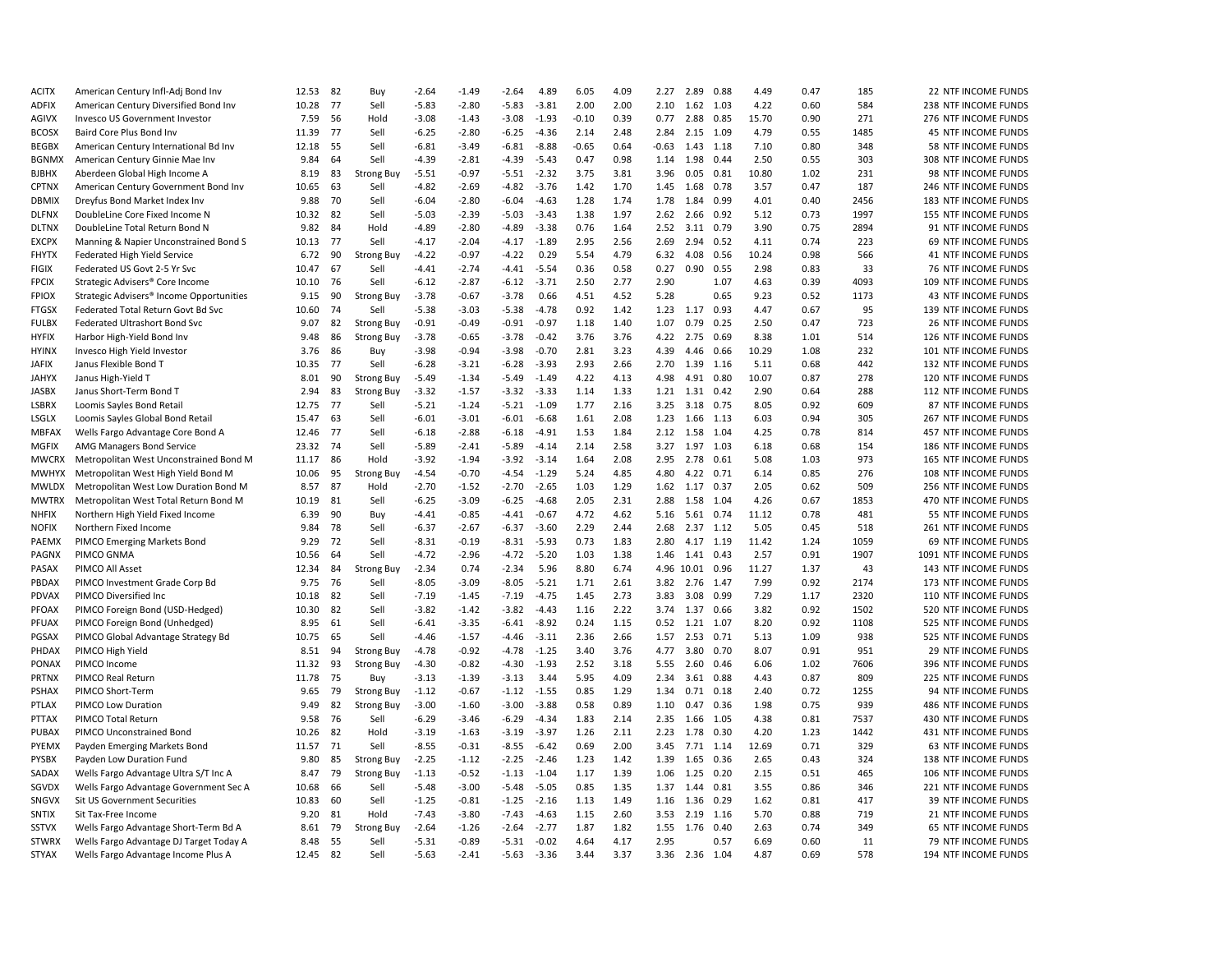| <b>ACITX</b>          | American Century Infl-Adj Bond Inv                                    | 12.53          | 82   | Buy                       | $-2.64$            | $-1.49$ | $-2.64$            | 4.89               | 6.05         | 4.09 | 2.27         | 2.89          | 0.88         | 4.49         | 0.47         | 185         | 22 NTF INCOME FUNDS        |
|-----------------------|-----------------------------------------------------------------------|----------------|------|---------------------------|--------------------|---------|--------------------|--------------------|--------------|------|--------------|---------------|--------------|--------------|--------------|-------------|----------------------------|
| <b>ADFIX</b>          | American Century Diversified Bond Inv                                 | 10.28          | - 77 | Sell                      | $-5.83$            | $-2.80$ | $-5.83$            | $-3.81$            | 2.00         | 2.00 | 2.10         | 1.62 1.03     |              | 4.22         | 0.60         | 584         | 238 NTF INCOME FUNDS       |
| AGIVX                 | Invesco US Government Investor                                        | 7.59           | 56   | Hold                      | $-3.08$            | $-1.43$ | $-3.08$            | $-1.93$            | $-0.10$      | 0.39 | 0.77         | 2.88          | 0.85         | 15.70        | 0.90         | 271         | 276 NTF INCOME FUNDS       |
| <b>BCOSX</b>          | Baird Core Plus Bond Inv                                              | 11.39          | 77   | Sell                      | $-6.25$            | $-2.80$ | $-6.25$            | $-4.36$            | 2.14         | 2.48 | 2.84         | 2.15          | 1.09         | 4.79         | 0.55         | 1485        | <b>45 NTF INCOME FUNDS</b> |
| <b>BEGBX</b>          | American Century International Bd Inv                                 | 12.18          | 55   | Sell                      | $-6.81$            | $-3.49$ | $-6.81$            | $-8.88$            | $-0.65$      | 0.64 | $-0.63$      | 1.43 1.18     |              | 7.10         | 0.80         | 348         | 58 NTF INCOME FUNDS        |
| <b>BGNMX</b>          | American Century Ginnie Mae Inv                                       | 9.84           | 64   | Sell                      | $-4.39$            | $-2.81$ | $-4.39$            | $-5.43$            | 0.47         | 0.98 | 1.14         | 1.98          | 0.44         | 2.50         | 0.55         | 303         | 308 NTF INCOME FUNDS       |
| <b>BJBHX</b>          | Aberdeen Global High Income A                                         | 8.19           | 83   | <b>Strong Buy</b>         | $-5.51$            | $-0.97$ | $-5.51$            | $-2.32$            | 3.75         | 3.81 | 3.96         | 0.05          | 0.81         | 10.80        | 1.02         | 231         | 98 NTF INCOME FUNDS        |
| <b>CPTNX</b>          | American Century Government Bond Inv                                  | 10.65          | 63   | Sell                      | $-4.82$            | $-2.69$ | $-4.82$            | $-3.76$            | 1.42         | 1.70 | 1.45         | 1.68          | 0.78         | 3.57         | 0.47         | 187         | 246 NTF INCOME FUNDS       |
| <b>DBMIX</b>          | Dreyfus Bond Market Index Inv                                         | 9.88           | 70   | Sell                      | $-6.04$            | $-2.80$ | $-6.04$            | $-4.63$            | 1.28         | 1.74 | 1.78         | 1.84          | 0.99         | 4.01         | 0.40         | 2456        | 183 NTF INCOME FUNDS       |
| <b>DLFNX</b>          | DoubleLine Core Fixed Income N                                        | 10.32          | 82   | Sell                      | $-5.03$            | $-2.39$ | $-5.03$            | $-3.43$            | 1.38         | 1.97 | 2.62         | 2.66          | 0.92         | 5.12         | 0.73         | 1997        | 155 NTF INCOME FUNDS       |
| <b>DLTNX</b>          | DoubleLine Total Return Bond N                                        | 9.82           | 84   | Hold                      | $-4.89$            | $-2.80$ | $-4.89$            | $-3.38$            | 0.76         | 1.64 | 2.52         | 3.11          | 0.79         | 3.90         | 0.75         | 2894        | 91 NTF INCOME FUNDS        |
| <b>EXCPX</b>          | Manning & Napier Unconstrained Bond S                                 | 10.13          | 77   | Sell                      | $-4.17$            | $-2.04$ | $-4.17$            | $-1.89$            | 2.95         | 2.56 | 2.69         | 2.94          | 0.52         | 4.11         | 0.74         | 223         | 69 NTF INCOME FUNDS        |
| <b>FHYTX</b>          | Federated High Yield Service                                          | 6.72           | 90   | <b>Strong Buy</b>         | $-4.22$            | $-0.97$ | $-4.22$            | 0.29               | 5.54         | 4.79 | 6.32         | 4.08          | 0.56         | 10.24        | 0.98         | 566         | 41 NTF INCOME FUNDS        |
| <b>FIGIX</b>          | Federated US Govt 2-5 Yr Svc                                          | 10.47          | 67   | Sell                      | $-4.41$            | $-2.74$ | $-4.41$            | $-5.54$            | 0.36         | 0.58 | 0.27         | 0.90          | 0.55         | 2.98         | 0.83         | 33          | 76 NTF INCOME FUNDS        |
| <b>FPCIX</b>          | Strategic Advisers® Core Income                                       | 10.10          | 76   | Sell                      | $-6.12$            | $-2.87$ | $-6.12$            | $-3.71$            | 2.50         | 2.77 | 2.90         |               | 1.07         | 4.63         | 0.39         | 4093        | 109 NTF INCOME FUNDS       |
| <b>FPIOX</b>          | Strategic Advisers® Income Opportunities                              | 9.15           | 90   | <b>Strong Buy</b>         | $-3.78$            | $-0.67$ | $-3.78$            | 0.66               | 4.51         | 4.52 | 5.28         |               | 0.65         | 9.23         | 0.52         | 1173        | 43 NTF INCOME FUNDS        |
| <b>FTGSX</b>          | Federated Total Return Govt Bd Svc                                    | 10.60          | 74   | Sell                      | $-5.38$            | $-3.03$ | $-5.38$            | $-4.78$            | 0.92         | 1.42 | 1.23         | 1.17 0.93     |              | 4.47         | 0.67         | 95          | 139 NTF INCOME FUNDS       |
| <b>FULBX</b>          | Federated Ultrashort Bond Svc                                         | 9.07           | 82   | <b>Strong Buy</b>         | $-0.91$            | $-0.49$ | $-0.91$            | $-0.97$            | 1.18         | 1.40 | 1.07         | 0.79          | 0.25         | 2.50         | 0.47         | 723         | 26 NTF INCOME FUNDS        |
| <b>HYFIX</b>          | Harbor High-Yield Bond Inv                                            | 9.48           | 86   | Strong Buy                | $-3.78$            | $-0.65$ | $-3.78$            | $-0.42$            | 3.76         | 3.76 | 4.22         | 2.75          | 0.69         | 8.38         | 1.01         | 514         | 126 NTF INCOME FUNDS       |
| <b>HYINX</b>          | Invesco High Yield Investor                                           | 3.76           | 86   | Buy                       | $-3.98$            | $-0.94$ | $-3.98$            | $-0.70$            | 2.81         | 3.23 | 4.39         | 4.46          | 0.66         | 10.29        | 1.08         | 232         | 101 NTF INCOME FUNDS       |
| <b>JAFIX</b>          | Janus Flexible Bond T                                                 | 10.35          | 77   | Sell                      | $-6.28$            | $-3.21$ | $-6.28$            | $-3.93$            | 2.93         | 2.66 | 2.70         | 1.39          | 1.16         | 5.11         | 0.68         | 442         | 132 NTF INCOME FUNDS       |
| <b>JAHYX</b>          | Janus High-Yield T                                                    | 8.01           | 90   | <b>Strong Buy</b>         | $-5.49$            | $-1.34$ | $-5.49$            | $-1.49$            | 4.22         | 4.13 | 4.98         | 4.91          | 0.80         | 10.07        | 0.87         | 278         | 120 NTF INCOME FUNDS       |
| <b>JASBX</b>          | Janus Short-Term Bond T                                               | 2.94           | 83   | <b>Strong Buy</b>         | $-3.32$            | $-1.57$ | $-3.32$            | $-3.33$            | 1.14         | 1.33 | 1.21         | 1.31          | 0.42         | 2.90         | 0.64         | 288         | 112 NTF INCOME FUNDS       |
| LSBRX                 | Loomis Sayles Bond Retail                                             | 12.75          | 77   | Sell                      | $-5.21$            | $-1.24$ | $-5.21$            | $-1.09$            | 1.77         | 2.16 | 3.25         | 3.18          | 0.75         | 8.05         | 0.92         | 609         | 87 NTF INCOME FUNDS        |
|                       |                                                                       |                | 63   |                           |                    | $-3.01$ |                    | $-6.68$            | 1.61         | 2.08 |              |               |              | 6.03         |              | 305         | 267 NTF INCOME FUNDS       |
| LSGLX<br><b>MBFAX</b> | Loomis Sayles Global Bond Retail<br>Wells Fargo Advantage Core Bond A | 15.47<br>12.46 | 77   | Sell<br>Sell              | $-6.01$<br>$-6.18$ | $-2.88$ | $-6.01$<br>$-6.18$ | $-4.91$            | 1.53         | 1.84 | 1.23<br>2.12 | 1.66<br>1.58  | 1.13<br>1.04 | 4.25         | 0.94<br>0.78 | 814         | 457 NTF INCOME FUNDS       |
| <b>MGFIX</b>          |                                                                       | 23.32          | 74   | Sell                      | $-5.89$            | $-2.41$ | $-5.89$            | $-4.14$            | 2.14         | 2.58 | 3.27         | 1.97 1.03     |              | 6.18         | 0.68         | 154         | 186 NTF INCOME FUNDS       |
|                       | AMG Managers Bond Service                                             |                | 86   |                           | $-3.92$            | $-1.94$ |                    |                    |              | 2.08 |              |               |              |              |              | 973         |                            |
| <b>MWCRX</b>          | Metropolitan West Unconstrained Bond M                                | 11.17<br>10.06 | 95   | Hold                      | $-4.54$            | $-0.70$ | $-3.92$            | $-3.14$<br>$-1.29$ | 1.64<br>5.24 | 4.85 | 2.95         | 2.78          | 0.61         | 5.08         | 1.03<br>0.85 | 276         | 165 NTF INCOME FUNDS       |
| <b>MWHYX</b>          | Metropolitan West High Yield Bond M                                   | 8.57           |      | <b>Strong Buy</b><br>Hold |                    | $-1.52$ | $-4.54$            |                    | 1.03         |      | 4.80<br>1.62 | 4.22          | 0.71         | 6.14<br>2.05 | 0.62         | 509         | 108 NTF INCOME FUNDS       |
| <b>MWLDX</b>          | Metropolitan West Low Duration Bond M                                 |                | 87   |                           | $-2.70$            |         | $-2.70$            | $-2.65$            |              | 1.29 |              | 1.17 0.37     |              |              |              |             | 256 NTF INCOME FUNDS       |
| <b>MWTRX</b>          | Metropolitan West Total Return Bond M                                 | 10.19          | 81   | Sell                      | $-6.25$            | $-3.09$ | $-6.25$            | $-4.68$            | 2.05         | 2.31 | 2.88         | 1.58          | 1.04         | 4.26         | 0.67         | 1853        | 470 NTF INCOME FUNDS       |
| <b>NHFIX</b>          | Northern High Yield Fixed Income                                      | 6.39           | 90   | Buy                       | $-4.41$            | $-0.85$ | $-4.41$            | $-0.67$            | 4.72         | 4.62 | 5.16         | 5.61          | 0.74         | 11.12        | 0.78         | 481         | 55 NTF INCOME FUNDS        |
| <b>NOFIX</b>          | Northern Fixed Income                                                 | 9.84           | 78   | Sell                      | $-6.37$            | $-2.67$ | $-6.37$            | $-3.60$            | 2.29<br>0.73 | 2.44 | 2.68         | 2.37 1.12     |              | 5.05         | 0.45         | 518<br>1059 | 261 NTF INCOME FUNDS       |
| PAEMX                 | PIMCO Emerging Markets Bond                                           | 9.29           | 72   | Sell                      | $-8.31$            | $-0.19$ | $-8.31$            | $-5.93$            |              | 1.83 | 2.80         | 4.17          | 1.19         | 11.42        | 1.24         |             | 69 NTF INCOME FUNDS        |
| PAGNX                 | PIMCO GNMA                                                            | 10.56          | 64   | Sell                      | $-4.72$            | $-2.96$ | $-4.72$            | $-5.20$            | 1.03         | 1.38 | 1.46         | 1.41          | 0.43         | 2.57         | 0.91         | 1907        | 1091 NTF INCOME FUNDS      |
| <b>PASAX</b>          | PIMCO All Asset                                                       | 12.34          | 84   | <b>Strong Buy</b>         | $-2.34$            | 0.74    | $-2.34$            | 5.96               | 8.80         | 6.74 |              | 4.96 10.01    | 0.96         | 11.27        | 1.37         | 43          | 143 NTF INCOME FUNDS       |
| PBDAX                 | PIMCO Investment Grade Corp Bd                                        | 9.75           | 76   | Sell                      | $-8.05$            | $-3.09$ | $-8.05$            | $-5.21$            | 1.71         | 2.61 | 3.82         | 2.76          | 1.47         | 7.99         | 0.92         | 2174        | 173 NTF INCOME FUNDS       |
| <b>PDVAX</b>          | PIMCO Diversified Inc                                                 | 10.18          | 82   | Sell                      | $-7.19$            | $-1.45$ | $-7.19$            | $-4.75$            | 1.45         | 2.73 | 3.83         | 3.08          | 0.99         | 7.29         | 1.17         | 2320        | 110 NTF INCOME FUNDS       |
| PFOAX                 | PIMCO Foreign Bond (USD-Hedged)                                       | 10.30          | 82   | Sell                      | $-3.82$            | $-1.42$ | $-3.82$            | $-4.43$            | 1.16         | 2.22 | 3.74         | 1.37          | 0.66         | 3.82         | 0.92         | 1502        | 520 NTF INCOME FUNDS       |
| PFUAX                 | PIMCO Foreign Bond (Unhedged)                                         | 8.95           | 61   | Sell                      | $-6.41$            | $-3.35$ | $-6.41$            | $-8.92$            | 0.24         | 1.15 | 0.52         | 1.21          | 1.07         | 8.20         | 0.92         | 1108        | 525 NTF INCOME FUNDS       |
| PGSAX                 | PIMCO Global Advantage Strategy Bd                                    | 10.75          | 65   | Sell                      | $-4.46$            | $-1.57$ | $-4.46$            | $-3.11$            | 2.36         | 2.66 | 1.57         | 2.53          | 0.71         | 5.13         | 1.09         | 938         | 525 NTF INCOME FUNDS       |
| PHDAX                 | PIMCO High Yield                                                      | 8.51           | 94   | <b>Strong Buy</b>         | $-4.78$            | $-0.92$ | $-4.78$            | $-1.25$            | 3.40         | 3.76 | 4.77         | 3.80          | 0.70         | 8.07         | 0.91         | 951         | 29 NTF INCOME FUNDS        |
| <b>PONAX</b>          | PIMCO Income                                                          | 11.32          | 93   | <b>Strong Buy</b>         | $-4.30$            | $-0.82$ | $-4.30$            | $-1.93$            | 2.52         | 3.18 | 5.55         | 2.60          | 0.46         | 6.06         | 1.02         | 7606        | 396 NTF INCOME FUNDS       |
| <b>PRTNX</b>          | PIMCO Real Return                                                     | 11.78          | 75   | Buy                       | $-3.13$            | $-1.39$ | $-3.13$            | 3.44               | 5.95         | 4.09 | 2.34         | 3.61          | 0.88         | 4.43         | 0.87         | 809         | 225 NTF INCOME FUNDS       |
| <b>PSHAX</b>          | PIMCO Short-Term                                                      | 9.65           | 79   | <b>Strong Buy</b>         | $-1.12$            | $-0.67$ | $-1.12$            | $-1.55$            | 0.85         | 1.29 | 1.34         | $0.71$ $0.18$ |              | 2.40         | 0.72         | 1255        | 94 NTF INCOME FUNDS        |
| PTLAX                 | PIMCO Low Duration                                                    | 9.49           | 82   | <b>Strong Buy</b>         | $-3.00$            | $-1.60$ | $-3.00$            | $-3.88$            | 0.58         | 0.89 | 1.10         | 0.47          | 0.36         | 1.98         | 0.75         | 939         | 486 NTF INCOME FUNDS       |
| <b>PTTAX</b>          | PIMCO Total Return                                                    | 9.58           | 76   | Sell                      | $-6.29$            | $-3.46$ | $-6.29$            | $-4.34$            | 1.83         | 2.14 | 2.35         | 1.66          | 1.05         | 4.38         | 0.81         | 7537        | 430 NTF INCOME FUNDS       |
| <b>PUBAX</b>          | PIMCO Unconstrained Bond                                              | 10.26          | 82   | Hold                      | $-3.19$            | $-1.63$ | $-3.19$            | $-3.97$            | 1.26         | 2.11 | 2.23         | 1.78          | 0.30         | 4.20         | 1.23         | 1442        | 431 NTF INCOME FUNDS       |
| PYEMX                 | Payden Emerging Markets Bond                                          | 11.57          | 71   | Sell                      | $-8.55$            | $-0.31$ | $-8.55$            | $-6.42$            | 0.69         | 2.00 | 3.45         | 7.71          | 1.14         | 12.69        | 0.71         | 329         | 63 NTF INCOME FUNDS        |
| PYSBX                 | Payden Low Duration Fund                                              | 9.80           | 85   | <b>Strong Buy</b>         | $-2.25$            | $-1.12$ | $-2.25$            | $-2.46$            | 1.23         | 1.42 | 1.39         | 1.65          | 0.36         | 2.65         | 0.43         | 324         | 138 NTF INCOME FUNDS       |
| SADAX                 | Wells Fargo Advantage Ultra S/T Inc A                                 | 8.47           | 79   | <b>Strong Buy</b>         | $-1.13$            | $-0.52$ | $-1.13$            | $-1.04$            | 1.17         | 1.39 | 1.06         | 1.25          | 0.20         | 2.15         | 0.51         | 465         | 106 NTF INCOME FUNDS       |
| SGVDX                 | Wells Fargo Advantage Government Sec A                                | 10.68          | 66   | Sell                      | $-5.48$            | $-3.00$ | $-5.48$            | $-5.05$            | 0.85         | 1.35 | 1.37         | 1.44          | 0.81         | 3.55         | 0.86         | 346         | 221 NTF INCOME FUNDS       |
| SNGVX                 | Sit US Government Securities                                          | 10.83          | 60   | Sell                      | $-1.25$            | $-0.81$ | $-1.25$            | $-2.16$            | 1.13         | 1.49 | 1.16         | 1.36          | 0.29         | 1.62         | 0.81         | 417         | <b>39 NTF INCOME FUNDS</b> |
| SNTIX                 | Sit Tax-Free Income                                                   | 9.20           | 81   | Hold                      | $-7.43$            | $-3.80$ | $-7.43$            | $-4.63$            | 1.15         | 2.60 | 3.53         | 2.19 1.16     |              | 5.70         | 0.88         | 719         | 21 NTF INCOME FUNDS        |
| <b>SSTVX</b>          | Wells Fargo Advantage Short-Term Bd A                                 | 8.61           | 79   | <b>Strong Buy</b>         | $-2.64$            | $-1.26$ | $-2.64$            | $-2.77$            | 1.87         | 1.82 | 1.55         | 1.76          | 0.40         | 2.63         | 0.74         | 349         | 65 NTF INCOME FUNDS        |
| <b>STWRX</b>          | Wells Fargo Advantage DJ Target Today A                               | 8.48           | 55   | Sell                      | $-5.31$            | $-0.89$ | $-5.31$            | $-0.02$            | 4.64         | 4.17 | 2.95         |               | 0.57         | 6.69         | 0.60         | 11          | 79 NTF INCOME FUNDS        |
| <b>STYAX</b>          | Wells Fargo Advantage Income Plus A                                   | 12.45          | 82   | Sell                      | $-5.63$            | $-2.41$ | $-5.63$            | $-3.36$            | 3.44         | 3.37 | 3.36         | 2.36          | 1.04         | 4.87         | 0.69         | 578         | 194 NTF INCOME FUNDS       |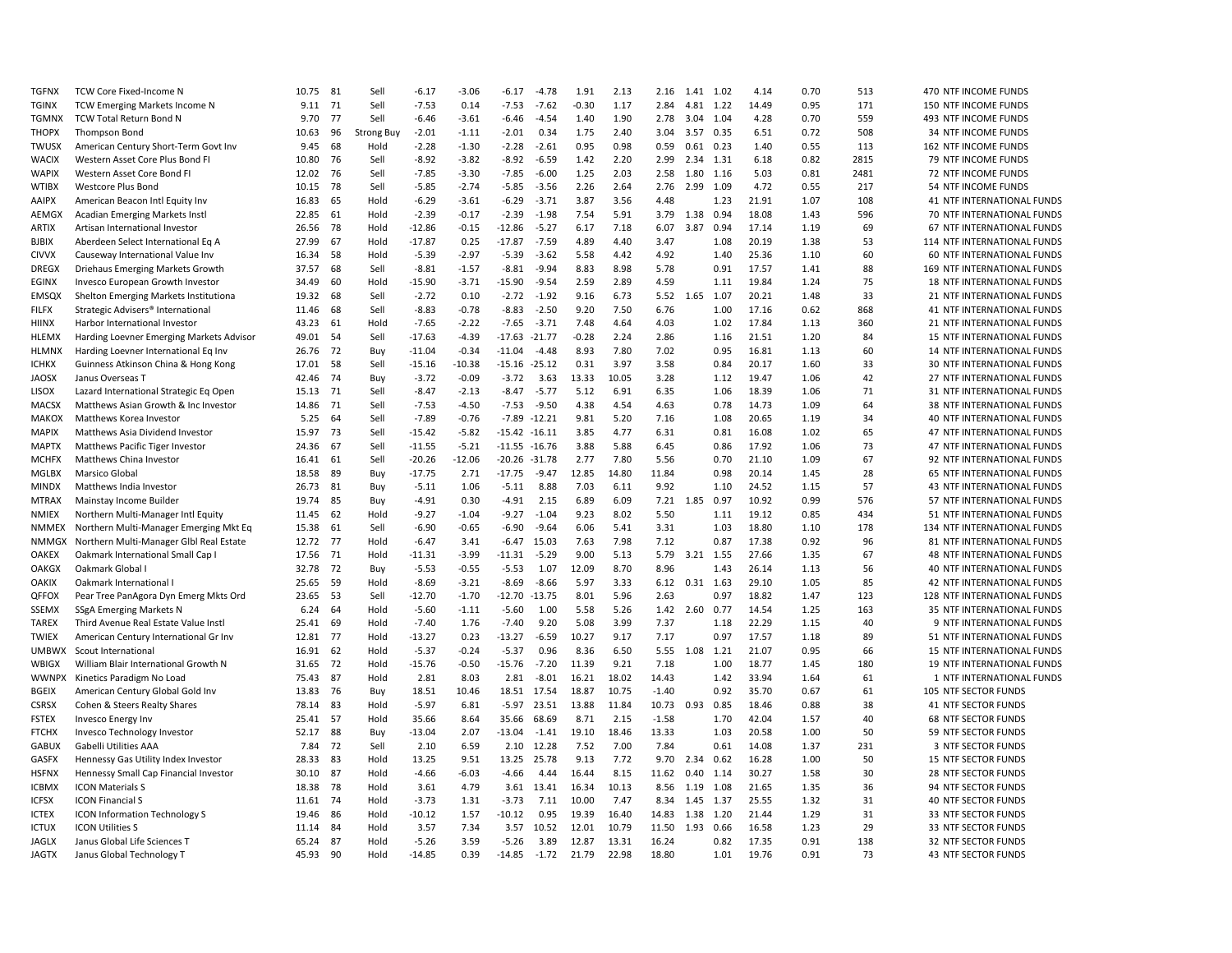| <b>TGFNX</b>                 | TCW Core Fixed-Income N                                                       | 10.75          | 81       | Sell              | $-6.17$             | $-3.06$      | $-6.17$             | $-4.78$         | 1.91           | 2.13         | 2.16             | 1.41 1.02      |              | 4.14           | 0.70         | 513      | 470 NTF INCOME FUNDS                                    |
|------------------------------|-------------------------------------------------------------------------------|----------------|----------|-------------------|---------------------|--------------|---------------------|-----------------|----------------|--------------|------------------|----------------|--------------|----------------|--------------|----------|---------------------------------------------------------|
| <b>TGINX</b>                 | TCW Emerging Markets Income N                                                 | 9.11           | 71       | Sell              | $-7.53$             | 0.14         | $-7.53$             | $-7.62$         | $-0.30$        | 1.17         | 2.84             |                | 4.81 1.22    | 14.49          | 0.95         | 171      | 150 NTF INCOME FUNDS                                    |
| TGMNX                        | TCW Total Return Bond N                                                       | 9.70           | 77       | Sell              | $-6.46$             | $-3.61$      | $-6.46$             | $-4.54$         | 1.40           | 1.90         | 2.78             | 3.04 1.04      |              | 4.28           | 0.70         | 559      | 493 NTF INCOME FUNDS                                    |
| <b>THOPX</b>                 | Thompson Bond                                                                 | 10.63          | 96       | <b>Strong Buy</b> | $-2.01$             | $-1.11$      | $-2.01$             | 0.34            | 1.75           | 2.40         | 3.04             | 3.57 0.35      |              | 6.51           | 0.72         | 508      | 34 NTF INCOME FUNDS                                     |
| TWUSX                        | American Century Short-Term Govt Inv                                          | 9.45           | 68       | Hold              | $-2.28$             | $-1.30$      | $-2.28$             | $-2.61$         | 0.95           | 0.98         | 0.59             | 0.61           | 0.23         | 1.40           | 0.55         | 113      | 162 NTF INCOME FUNDS                                    |
| <b>WACIX</b>                 | Western Asset Core Plus Bond FI                                               | 10.80          | 76       | Sell              | $-8.92$             | $-3.82$      | $-8.92$             | $-6.59$         | 1.42           | 2.20         | 2.99             | 2.34           | 1.31         | 6.18           | 0.82         | 2815     | 79 NTF INCOME FUNDS                                     |
| WAPIX                        | Western Asset Core Bond FI                                                    | 12.02          | 76       | Sell              | $-7.85$             | $-3.30$      | $-7.85$             | $-6.00$         | 1.25           | 2.03         | 2.58             | 1.80           | 1.16         | 5.03           | 0.81         | 2481     | 72 NTF INCOME FUNDS                                     |
| WTIBX                        | Westcore Plus Bond                                                            | 10.15          | 78       | Sell              | $-5.85$             | $-2.74$      | $-5.85$             | $-3.56$         | 2.26           | 2.64         | 2.76             | 2.99           | 1.09         | 4.72           | 0.55         | 217      | 54 NTF INCOME FUNDS                                     |
| <b>AAIPX</b>                 | American Beacon Intl Equity Inv                                               | 16.83          | 65       | Hold              | $-6.29$             | $-3.61$      | $-6.29$             | $-3.71$         | 3.87           | 3.56         | 4.48             |                | 1.23         | 21.91          | 1.07         | 108      | 41 NTF INTERNATIONAL FUNDS                              |
| AEMGX                        | Acadian Emerging Markets Instl                                                | 22.85          | 61       | Hold              | $-2.39$             | $-0.17$      | $-2.39$             | $-1.98$         | 7.54           | 5.91         | 3.79             | 1.38           | 0.94         | 18.08          | 1.43         | 596      | 70 NTF INTERNATIONAL FUNDS                              |
| ARTIX                        | Artisan International Investor                                                | 26.56          | 78       | Hold              | $-12.86$            | $-0.15$      | $-12.86$            | $-5.27$         | 6.17           | 7.18         | 6.07             | 3.87           | 0.94         | 17.14          | 1.19         | 69       | 67 NTF INTERNATIONAL FUNDS                              |
| <b>BJBIX</b>                 | Aberdeen Select International Eq A                                            | 27.99          | 67       | Hold              | $-17.87$            | 0.25         | $-17.87$            | $-7.59$         | 4.89           | 4.40         | 3.47             |                | 1.08         | 20.19          | 1.38         | 53       | 114 NTF INTERNATIONAL FUNDS                             |
| <b>CIVVX</b>                 | Causeway International Value Inv                                              | 16.34          | 58       | Hold              | $-5.39$             | $-2.97$      | $-5.39$             | $-3.62$         | 5.58           | 4.42         | 4.92             |                | 1.40         | 25.36          | 1.10         | 60       | 60 NTF INTERNATIONAL FUNDS                              |
| <b>DREGX</b>                 | Driehaus Emerging Markets Growth                                              | 37.57          | 68       | Sell              | $-8.81$             | $-1.57$      | $-8.81$             | $-9.94$         | 8.83           | 8.98         | 5.78             |                | 0.91         | 17.57          | 1.41         | 88       | 169 NTF INTERNATIONAL FUNDS                             |
| EGINX                        | Invesco European Growth Investor                                              | 34.49          | 60       | Hold              | $-15.90$            | $-3.71$      | $-15.90$            | $-9.54$         | 2.59           | 2.89         | 4.59             |                | 1.11         | 19.84          | 1.24         | 75       | 18 NTF INTERNATIONAL FUNDS                              |
| EMSQX                        | Shelton Emerging Markets Institutiona                                         | 19.32          | 68       | Sell              | $-2.72$             | 0.10         | $-2.72$             | $-1.92$         | 9.16           | 6.73         | 5.52             | 1.65           | 1.07         | 20.21          | 1.48         | 33       | 21 NTF INTERNATIONAL FUNDS                              |
| <b>FILFX</b>                 | Strategic Advisers® International                                             | 11.46          | 68       | Sell              | $-8.83$             | $-0.78$      | $-8.83$             | $-2.50$         | 9.20           | 7.50         | 6.76             |                | 1.00         | 17.16          | 0.62         | 868      | 41 NTF INTERNATIONAL FUNDS                              |
| <b>HIINX</b>                 | Harbor International Investor                                                 | 43.23          | 61       | Hold              | $-7.65$             | $-2.22$      | $-7.65$             | $-3.71$         | 7.48           | 4.64         | 4.03             |                | 1.02         | 17.84          | 1.13         | 360      | 21 NTF INTERNATIONAL FUNDS                              |
| HLEMX                        | Harding Loevner Emerging Markets Advisor                                      | 49.01          | 54       | Sell              | $-17.63$            | $-4.39$      | $-17.63$            | $-21.77$        | $-0.28$        | 2.24         | 2.86             |                | 1.16         | 21.51          | 1.20         | 84       | 15 NTF INTERNATIONAL FUNDS                              |
| HLMNX                        | Harding Loevner International Eq Inv                                          | 26.76          | 72       | Buy               | $-11.04$            | $-0.34$      | $-11.04$            | $-4.48$         | 8.93           | 7.80         | 7.02             |                | 0.95         | 16.81          | 1.13         | 60       | 14 NTF INTERNATIONAL FUNDS                              |
| <b>ICHKX</b>                 | Guinness Atkinson China & Hong Kong                                           | 17.01          | 58       | Sell              | $-15.16$            | $-10.38$     | $-15.16$            | $-25.12$        | 0.31           | 3.97         | 3.58             |                | 0.84         | 20.17          | 1.60         | 33       | 30 NTF INTERNATIONAL FUNDS                              |
| <b>JAOSX</b>                 | Janus Overseas T                                                              | 42.46          | 74       | Buy               | $-3.72$             | $-0.09$      | $-3.72$             | 3.63            | 13.33          | 10.05        | 3.28             |                | 1.12         | 19.47          | 1.06         | 42       | 27 NTF INTERNATIONAL FUNDS                              |
| <b>LISOX</b>                 | Lazard International Strategic Eq Open                                        | 15.13          | 71       | Sell              | $-8.47$             | $-2.13$      | $-8.47$             | $-5.77$         | 5.12           | 6.91         | 6.35             |                | 1.06         | 18.39          | 1.06         | 71       | 31 NTF INTERNATIONAL FUNDS                              |
| MACSX                        | Matthews Asian Growth & Inc Investor                                          | 14.86          | 71       | Sell              | $-7.53$             | $-4.50$      | $-7.53$             | $-9.50$         | 4.38           | 4.54         | 4.63             |                | 0.78         | 14.73          | 1.09         | 64       | 38 NTF INTERNATIONAL FUNDS                              |
| <b>MAKOX</b>                 | Matthews Korea Investor                                                       | 5.25           | 64       | Sell              | $-7.89$             | $-0.76$      | $-7.89$             | $-12.21$        | 9.81           | 5.20         | 7.16             |                | 1.08         | 20.65          | 1.19         | 34       | 40 NTF INTERNATIONAL FUNDS                              |
| <b>MAPIX</b>                 | Matthews Asia Dividend Investor                                               | 15.97          | 73       | Sell              | $-15.42$            | $-5.82$      | $-15.42 - 16.11$    |                 | 3.85           | 4.77         | 6.31             |                | 0.81         | 16.08          | 1.02         | 65       | 47 NTF INTERNATIONAL FUNDS                              |
| <b>MAPTX</b>                 | Matthews Pacific Tiger Investor                                               | 24.36          | 67       | Sell              | $-11.55$            | $-5.21$      | $-11.55 - 16.76$    |                 | 3.88           | 5.88         | 6.45             |                | 0.86         | 17.92          | 1.06         | 73       | 47 NTF INTERNATIONAL FUNDS                              |
| <b>MCHFX</b>                 | Matthews China Investor                                                       | 16.41          | 61       | Sell              | $-20.26$            | $-12.06$     | $-20.26$            | $-31.78$        | 2.77           | 7.80         | 5.56             |                | 0.70         | 21.10          | 1.09         | 67       | 92 NTF INTERNATIONAL FUNDS                              |
| MGLBX                        | Marsico Global                                                                | 18.58          | 89       | Buy               | $-17.75$            | 2.71         | $-17.75$            | $-9.47$         | 12.85          | 14.80        | 11.84            |                | 0.98         | 20.14          | 1.45         | 28       | 65 NTF INTERNATIONAL FUNDS                              |
| <b>MINDX</b>                 | Matthews India Investor                                                       | 26.73          | 81       | Buy               | $-5.11$             | 1.06         | $-5.11$             | 8.88            | 7.03           | 6.11         | 9.92             |                | 1.10         | 24.52          | 1.15         | 57       | 43 NTF INTERNATIONAL FUNDS                              |
| <b>MTRAX</b>                 | Mainstay Income Builder                                                       | 19.74          | 85       | Buy               | $-4.91$             | 0.30         | $-4.91$             | 2.15            | 6.89           | 6.09         | 7.21             | 1.85           | 0.97         | 10.92          | 0.99         | 576      | 57 NTF INTERNATIONAL FUNDS                              |
| <b>NMIEX</b>                 | Northern Multi-Manager Intl Equity                                            | 11.45          | 62       | Hold              | $-9.27$             | $-1.04$      | $-9.27$             | $-1.04$         | 9.23           | 8.02         | 5.50             |                | 1.11         | 19.12          | 0.85         | 434      | 51 NTF INTERNATIONAL FUNDS                              |
| <b>NMMEX</b>                 | Northern Multi-Manager Emerging Mkt Eq                                        | 15.38          | 61       | Sell              | $-6.90$             | $-0.65$      | $-6.90$             | $-9.64$         | 6.06           | 5.41         | 3.31             |                | 1.03         | 18.80          | 1.10         | 178      | 134 NTF INTERNATIONAL FUNDS                             |
| <b>NMMGX</b>                 | Northern Multi-Manager Glbl Real Estate                                       | 12.72          | 77       | Hold              | $-6.47$             | 3.41         | $-6.47$             | 15.03           | 7.63           | 7.98         | 7.12             |                | 0.87         | 17.38          | 0.92         | 96       | 81 NTF INTERNATIONAL FUNDS                              |
| <b>OAKEX</b>                 | Oakmark International Small Cap I                                             | 17.56          | 71       | Hold              | $-11.31$            | $-3.99$      | $-11.31$            | $-5.29$         | 9.00           | 5.13         |                  | 5.79 3.21 1.55 |              | 27.66          | 1.35         | 67       | 48 NTF INTERNATIONAL FUNDS                              |
|                              |                                                                               |                | 72       |                   | $-5.53$             | $-0.55$      | $-5.53$             |                 | 12.09          | 8.70         | 8.96             |                | 1.43         | 26.14          | 1.13         | 56       | 40 NTF INTERNATIONAL FUNDS                              |
| <b>OAKGX</b><br><b>OAKIX</b> | Oakmark Global I<br>Oakmark International I                                   | 32.78<br>25.65 | 59       | Buy<br>Hold       | $-8.69$             | $-3.21$      | $-8.69$             | 1.07<br>$-8.66$ | 5.97           | 3.33         | 6.12             |                | $0.31$ 1.63  | 29.10          | 1.05         | 85       | 42 NTF INTERNATIONAL FUNDS                              |
| QFFOX                        |                                                                               | 23.65          | 53       | Sell              | $-12.70$            | $-1.70$      | -12.70              | $-13.75$        | 8.01           | 5.96         | 2.63             |                | 0.97         | 18.82          | 1.47         | 123      | 128 NTF INTERNATIONAL FUNDS                             |
|                              | Pear Tree PanAgora Dyn Emerg Mkts Ord                                         |                | 64       | Hold              |                     |              |                     | 1.00            | 5.58           | 5.26         |                  |                |              | 14.54          |              | 163      | 35 NTF INTERNATIONAL FUNDS                              |
| SSEMX                        | <b>SSgA Emerging Markets N</b>                                                | 6.24           |          | Hold              | $-5.60$             | $-1.11$      | $-5.60$             |                 |                |              | 7.37             | 1.42 2.60      | 0.77         |                | 1.25         | 40       |                                                         |
| <b>TAREX</b><br><b>TWIEX</b> | Third Avenue Real Estate Value Instl<br>American Century International Gr Inv | 25.41          | 69<br>77 | Hold              | $-7.40$<br>$-13.27$ | 1.76<br>0.23 | $-7.40$<br>$-13.27$ | 9.20<br>$-6.59$ | 5.08<br>10.27  | 3.99<br>9.17 | 7.17             |                | 1.18<br>0.97 | 22.29<br>17.57 | 1.15<br>1.18 | 89       | 9 NTF INTERNATIONAL FUNDS<br>51 NTF INTERNATIONAL FUNDS |
|                              |                                                                               | 12.81          |          |                   |                     |              |                     |                 |                |              |                  |                |              |                |              |          |                                                         |
| <b>UMBWX</b>                 | Scout International                                                           | 16.91          | 62<br>72 | Hold              | $-5.37$             | $-0.24$      | $-5.37$             | 0.96            | 8.36           | 6.50         | 5.55             | 1.08           | 1.21         | 21.07          | 0.95         | 66       | 15 NTF INTERNATIONAL FUNDS                              |
| WBIGX                        | William Blair International Growth N                                          | 31.65          |          | Hold              | $-15.76$            | $-0.50$      | $-15.76$            | $-7.20$         | 11.39          | 9.21         | 7.18             |                | 1.00         | 18.77          | 1.45         | 180      | 19 NTF INTERNATIONAL FUNDS                              |
| <b>WWNPX</b>                 | Kinetics Paradigm No Load                                                     | 75.43          | 87       | Hold              | 2.81                | 8.03         | 2.81                | $-8.01$         | 16.21          | 18.02        | 14.43            |                | 1.42         | 33.94          | 1.64         | 61       | 1 NTF INTERNATIONAL FUNDS                               |
| <b>BGEIX</b>                 | American Century Global Gold Inv                                              | 13.83          | 76<br>83 | Buy<br>Hold       | 18.51               | 10.46        | 18.51               | 17.54           | 18.87<br>13.88 | 10.75        | $-1.40$<br>10.73 |                | 0.92         | 35.70          | 0.67         | 61<br>38 | 105 NTF SECTOR FUNDS                                    |
| CSRSX                        | Cohen & Steers Realty Shares                                                  | 78.14          |          |                   | $-5.97$             | 6.81         | $-5.97$             | 23.51           |                | 11.84        |                  | 0.93           | 0.85         | 18.46          | 0.88         |          | 41 NTF SECTOR FUNDS                                     |
| <b>FSTEX</b>                 | <b>Invesco Energy Inv</b>                                                     | 25.41          | 57       | Hold              | 35.66               | 8.64         | 35.66               | 68.69           | 8.71           | 2.15         | $-1.58$          |                | 1.70         | 42.04          | 1.57         | 40       | <b>68 NTF SECTOR FUNDS</b>                              |
| <b>FTCHX</b>                 | Invesco Technology Investor                                                   | 52.17          | 88       | Buy               | $-13.04$            | 2.07         | $-13.04$            | $-1.41$         | 19.10          | 18.46        | 13.33            |                | 1.03         | 20.58          | 1.00         | 50       | 59 NTF SECTOR FUNDS                                     |
| <b>GABUX</b>                 | <b>Gabelli Utilities AAA</b>                                                  | 7.84           | 72       | Sell              | 2.10                | 6.59         | 2.10                | 12.28           | 7.52           | 7.00         | 7.84             |                | 0.61         | 14.08          | 1.37         | 231      | 3 NTF SECTOR FUNDS                                      |
| GASFX                        | Hennessy Gas Utility Index Investor                                           | 28.33          | 83       | Hold              | 13.25               | 9.51         | 13.25               | 25.78           | 9.13           | 7.72         | 9.70             | 2.34           | 0.62         | 16.28          | 1.00         | 50       | 15 NTF SECTOR FUNDS                                     |
| <b>HSFNX</b>                 | Hennessy Small Cap Financial Investor                                         | 30.10          | 87       | Hold              | $-4.66$             | -6.03        | $-4.66$             | 4.44            | 16.44          | 8.15         | 11.62            | 0.40           | 1.14         | 30.27          | 1.58         | 30       | 28 NTF SECTOR FUNDS                                     |
| <b>ICBMX</b>                 | <b>ICON Materials S</b>                                                       | 18.38          | 78       | Hold              | 3.61                | 4.79         | 3.61                | 13.41           | 16.34          | 10.13        | 8.56             | 1.19 1.08      |              | 21.65          | 1.35         | 36       | 94 NTF SECTOR FUNDS                                     |
| <b>ICFSX</b>                 | <b>ICON Financial S</b>                                                       | 11.61          | 74       | Hold              | $-3.73$             | 1.31         | $-3.73$             | 7.11            | 10.00          | 7.47         | 8.34             | 1.45           | 1.37         | 25.55          | 1.32         | 31       | 40 NTF SECTOR FUNDS                                     |
| <b>ICTEX</b>                 | <b>ICON Information Technology S</b>                                          | 19.46          | 86       | Hold              | $-10.12$            | 1.57         | $-10.12$            | 0.95            | 19.39          | 16.40        | 14.83            | 1.38           | 1.20         | 21.44          | 1.29         | 31       | 33 NTF SECTOR FUNDS                                     |
| <b>ICTUX</b>                 | <b>ICON Utilities S</b>                                                       | 11.14          | 84       | Hold              | 3.57                | 7.34         | 3.57                | 10.52           | 12.01          | 10.79        | 11.50            | 1.93           | 0.66         | 16.58          | 1.23         | 29       | 33 NTF SECTOR FUNDS                                     |
| <b>JAGLX</b>                 | Janus Global Life Sciences T                                                  | 65.24          | 87       | Hold              | $-5.26$             | 3.59         | $-5.26$             | 3.89            | 12.87          | 13.31        | 16.24            |                | 0.82         | 17.35          | 0.91         | 138      | 32 NTF SECTOR FUNDS                                     |
| <b>JAGTX</b>                 | Janus Global Technology T                                                     | 45.93          | 90       | Hold              | $-14.85$            | 0.39         | $-14.85$            | $-1.72$         | 21.79          | 22.98        | 18.80            |                | 1.01         | 19.76          | 0.91         | 73       | <b>43 NTF SECTOR FUNDS</b>                              |